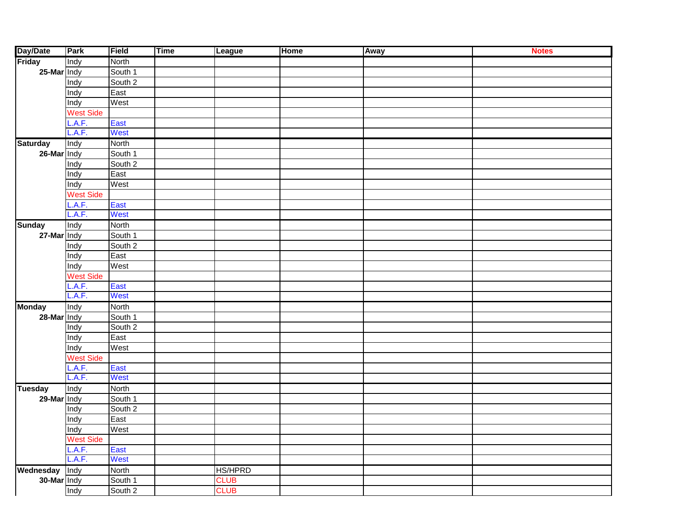| Friday<br>Indy<br>North<br>25-Mar Indy<br>South 1<br>South 2<br>Indy<br>East<br>Indy<br>West<br>Indy<br><b>West Side</b><br>L.A.F.<br>East<br>L.A.F.<br>West<br>Indy<br>North<br><b>Saturday</b><br>26-Mar Indy<br>South 1<br>South 2<br>Indy<br>East<br>Indy<br>West<br>Indy<br><b>West Side</b><br>East<br>L.A.F.<br>L.A.F.<br>West<br>Indy<br>North<br><b>Sunday</b><br>27-Mar Indy<br>South 1<br>South 2<br>Indy<br>East<br>Indy<br>West<br>Indy<br><b>West Side</b><br>L.A.F.<br>East<br>L.A.F.<br>West<br>Indy<br>North<br><b>Monday</b><br>28-Mar Indy<br>South 1<br>South 2<br>Indy<br>East<br>Indy<br>West<br>Indy<br><b>West Side</b><br>L.A.F.<br>East<br>L.A.F.<br>West<br>Indy<br>North<br><b>Tuesday</b><br>29-Mar Indy<br>South 1<br>South 2<br>Indy<br>East<br>Indy<br>West<br>Indy<br><b>West Side</b><br>East<br>L.A.F.<br>L.A.F.<br>West<br><b>HS/HPRD</b><br>Wednesday<br><b>Tindy</b><br>North<br>30-Mar Indy<br>South 1<br><b>CLUB</b><br>Indy<br><b>CLUB</b><br>South 2 | Day/Date | Park | Field | <b>Time</b> | <b>League</b> | <b>Home</b> | Away | <b>Notes</b> |
|------------------------------------------------------------------------------------------------------------------------------------------------------------------------------------------------------------------------------------------------------------------------------------------------------------------------------------------------------------------------------------------------------------------------------------------------------------------------------------------------------------------------------------------------------------------------------------------------------------------------------------------------------------------------------------------------------------------------------------------------------------------------------------------------------------------------------------------------------------------------------------------------------------------------------------------------------------------------------------------------|----------|------|-------|-------------|---------------|-------------|------|--------------|
|                                                                                                                                                                                                                                                                                                                                                                                                                                                                                                                                                                                                                                                                                                                                                                                                                                                                                                                                                                                                |          |      |       |             |               |             |      |              |
|                                                                                                                                                                                                                                                                                                                                                                                                                                                                                                                                                                                                                                                                                                                                                                                                                                                                                                                                                                                                |          |      |       |             |               |             |      |              |
|                                                                                                                                                                                                                                                                                                                                                                                                                                                                                                                                                                                                                                                                                                                                                                                                                                                                                                                                                                                                |          |      |       |             |               |             |      |              |
|                                                                                                                                                                                                                                                                                                                                                                                                                                                                                                                                                                                                                                                                                                                                                                                                                                                                                                                                                                                                |          |      |       |             |               |             |      |              |
|                                                                                                                                                                                                                                                                                                                                                                                                                                                                                                                                                                                                                                                                                                                                                                                                                                                                                                                                                                                                |          |      |       |             |               |             |      |              |
|                                                                                                                                                                                                                                                                                                                                                                                                                                                                                                                                                                                                                                                                                                                                                                                                                                                                                                                                                                                                |          |      |       |             |               |             |      |              |
|                                                                                                                                                                                                                                                                                                                                                                                                                                                                                                                                                                                                                                                                                                                                                                                                                                                                                                                                                                                                |          |      |       |             |               |             |      |              |
|                                                                                                                                                                                                                                                                                                                                                                                                                                                                                                                                                                                                                                                                                                                                                                                                                                                                                                                                                                                                |          |      |       |             |               |             |      |              |
|                                                                                                                                                                                                                                                                                                                                                                                                                                                                                                                                                                                                                                                                                                                                                                                                                                                                                                                                                                                                |          |      |       |             |               |             |      |              |
|                                                                                                                                                                                                                                                                                                                                                                                                                                                                                                                                                                                                                                                                                                                                                                                                                                                                                                                                                                                                |          |      |       |             |               |             |      |              |
|                                                                                                                                                                                                                                                                                                                                                                                                                                                                                                                                                                                                                                                                                                                                                                                                                                                                                                                                                                                                |          |      |       |             |               |             |      |              |
|                                                                                                                                                                                                                                                                                                                                                                                                                                                                                                                                                                                                                                                                                                                                                                                                                                                                                                                                                                                                |          |      |       |             |               |             |      |              |
|                                                                                                                                                                                                                                                                                                                                                                                                                                                                                                                                                                                                                                                                                                                                                                                                                                                                                                                                                                                                |          |      |       |             |               |             |      |              |
|                                                                                                                                                                                                                                                                                                                                                                                                                                                                                                                                                                                                                                                                                                                                                                                                                                                                                                                                                                                                |          |      |       |             |               |             |      |              |
|                                                                                                                                                                                                                                                                                                                                                                                                                                                                                                                                                                                                                                                                                                                                                                                                                                                                                                                                                                                                |          |      |       |             |               |             |      |              |
|                                                                                                                                                                                                                                                                                                                                                                                                                                                                                                                                                                                                                                                                                                                                                                                                                                                                                                                                                                                                |          |      |       |             |               |             |      |              |
|                                                                                                                                                                                                                                                                                                                                                                                                                                                                                                                                                                                                                                                                                                                                                                                                                                                                                                                                                                                                |          |      |       |             |               |             |      |              |
|                                                                                                                                                                                                                                                                                                                                                                                                                                                                                                                                                                                                                                                                                                                                                                                                                                                                                                                                                                                                |          |      |       |             |               |             |      |              |
|                                                                                                                                                                                                                                                                                                                                                                                                                                                                                                                                                                                                                                                                                                                                                                                                                                                                                                                                                                                                |          |      |       |             |               |             |      |              |
|                                                                                                                                                                                                                                                                                                                                                                                                                                                                                                                                                                                                                                                                                                                                                                                                                                                                                                                                                                                                |          |      |       |             |               |             |      |              |
|                                                                                                                                                                                                                                                                                                                                                                                                                                                                                                                                                                                                                                                                                                                                                                                                                                                                                                                                                                                                |          |      |       |             |               |             |      |              |
|                                                                                                                                                                                                                                                                                                                                                                                                                                                                                                                                                                                                                                                                                                                                                                                                                                                                                                                                                                                                |          |      |       |             |               |             |      |              |
|                                                                                                                                                                                                                                                                                                                                                                                                                                                                                                                                                                                                                                                                                                                                                                                                                                                                                                                                                                                                |          |      |       |             |               |             |      |              |
|                                                                                                                                                                                                                                                                                                                                                                                                                                                                                                                                                                                                                                                                                                                                                                                                                                                                                                                                                                                                |          |      |       |             |               |             |      |              |
|                                                                                                                                                                                                                                                                                                                                                                                                                                                                                                                                                                                                                                                                                                                                                                                                                                                                                                                                                                                                |          |      |       |             |               |             |      |              |
|                                                                                                                                                                                                                                                                                                                                                                                                                                                                                                                                                                                                                                                                                                                                                                                                                                                                                                                                                                                                |          |      |       |             |               |             |      |              |
|                                                                                                                                                                                                                                                                                                                                                                                                                                                                                                                                                                                                                                                                                                                                                                                                                                                                                                                                                                                                |          |      |       |             |               |             |      |              |
|                                                                                                                                                                                                                                                                                                                                                                                                                                                                                                                                                                                                                                                                                                                                                                                                                                                                                                                                                                                                |          |      |       |             |               |             |      |              |
|                                                                                                                                                                                                                                                                                                                                                                                                                                                                                                                                                                                                                                                                                                                                                                                                                                                                                                                                                                                                |          |      |       |             |               |             |      |              |
|                                                                                                                                                                                                                                                                                                                                                                                                                                                                                                                                                                                                                                                                                                                                                                                                                                                                                                                                                                                                |          |      |       |             |               |             |      |              |
|                                                                                                                                                                                                                                                                                                                                                                                                                                                                                                                                                                                                                                                                                                                                                                                                                                                                                                                                                                                                |          |      |       |             |               |             |      |              |
|                                                                                                                                                                                                                                                                                                                                                                                                                                                                                                                                                                                                                                                                                                                                                                                                                                                                                                                                                                                                |          |      |       |             |               |             |      |              |
|                                                                                                                                                                                                                                                                                                                                                                                                                                                                                                                                                                                                                                                                                                                                                                                                                                                                                                                                                                                                |          |      |       |             |               |             |      |              |
|                                                                                                                                                                                                                                                                                                                                                                                                                                                                                                                                                                                                                                                                                                                                                                                                                                                                                                                                                                                                |          |      |       |             |               |             |      |              |
|                                                                                                                                                                                                                                                                                                                                                                                                                                                                                                                                                                                                                                                                                                                                                                                                                                                                                                                                                                                                |          |      |       |             |               |             |      |              |
|                                                                                                                                                                                                                                                                                                                                                                                                                                                                                                                                                                                                                                                                                                                                                                                                                                                                                                                                                                                                |          |      |       |             |               |             |      |              |
|                                                                                                                                                                                                                                                                                                                                                                                                                                                                                                                                                                                                                                                                                                                                                                                                                                                                                                                                                                                                |          |      |       |             |               |             |      |              |
|                                                                                                                                                                                                                                                                                                                                                                                                                                                                                                                                                                                                                                                                                                                                                                                                                                                                                                                                                                                                |          |      |       |             |               |             |      |              |
|                                                                                                                                                                                                                                                                                                                                                                                                                                                                                                                                                                                                                                                                                                                                                                                                                                                                                                                                                                                                |          |      |       |             |               |             |      |              |
|                                                                                                                                                                                                                                                                                                                                                                                                                                                                                                                                                                                                                                                                                                                                                                                                                                                                                                                                                                                                |          |      |       |             |               |             |      |              |
|                                                                                                                                                                                                                                                                                                                                                                                                                                                                                                                                                                                                                                                                                                                                                                                                                                                                                                                                                                                                |          |      |       |             |               |             |      |              |
|                                                                                                                                                                                                                                                                                                                                                                                                                                                                                                                                                                                                                                                                                                                                                                                                                                                                                                                                                                                                |          |      |       |             |               |             |      |              |
|                                                                                                                                                                                                                                                                                                                                                                                                                                                                                                                                                                                                                                                                                                                                                                                                                                                                                                                                                                                                |          |      |       |             |               |             |      |              |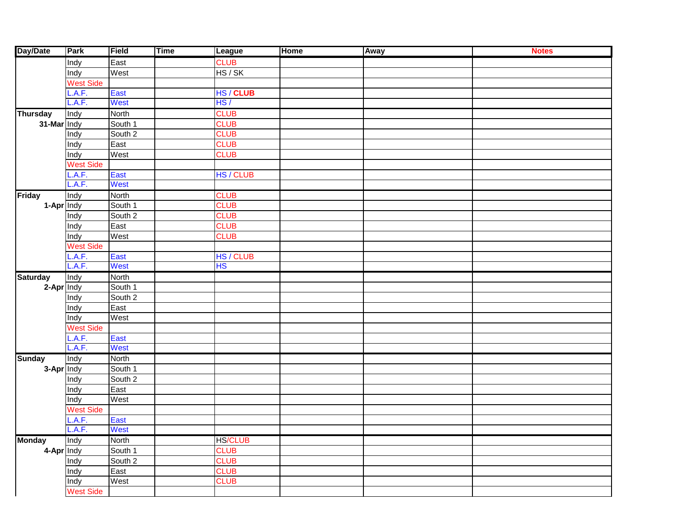| Day/Date        | Park             | Field   | <b>Time</b> | <b>League</b>  | <b>Home</b> | Away | <b>Notes</b> |
|-----------------|------------------|---------|-------------|----------------|-------------|------|--------------|
|                 | Indy             | East    |             | <b>CLUB</b>    |             |      |              |
|                 | Indy             | West    |             | HS/SK          |             |      |              |
|                 | <b>West Side</b> |         |             |                |             |      |              |
|                 | .A.F.            | East    |             | HS / CLUB      |             |      |              |
|                 | A.F.             | West    |             | HS/            |             |      |              |
| <b>Thursday</b> | Indy             | North   |             | <b>CLUB</b>    |             |      |              |
| 31-Mar Indy     |                  | South 1 |             | <b>CLUB</b>    |             |      |              |
|                 | Indy             | South 2 |             | <b>CLUB</b>    |             |      |              |
|                 | Indy             | East    |             | <b>CLUB</b>    |             |      |              |
|                 | Indy             | West    |             | <b>CLUB</b>    |             |      |              |
|                 | <b>West Side</b> |         |             |                |             |      |              |
|                 | .A.F.            | East    |             | HS / CLUB      |             |      |              |
|                 | A.F.             | West    |             |                |             |      |              |
| <b>Friday</b>   | Indy             | North   |             | <b>CLUB</b>    |             |      |              |
| 1-Apr Indy      |                  | South 1 |             | <b>CLUB</b>    |             |      |              |
|                 | Indy             | South 2 |             | <b>CLUB</b>    |             |      |              |
|                 | Indy             | East    |             | <b>CLUB</b>    |             |      |              |
|                 | Indy             | West    |             | <b>CLUB</b>    |             |      |              |
|                 | <b>West Side</b> |         |             |                |             |      |              |
|                 | .A.F.            | East    |             | HS / CLUB      |             |      |              |
|                 | A.F.             | West    |             | <b>HS</b>      |             |      |              |
| <b>Saturday</b> | Indy             | North   |             |                |             |      |              |
| 2-Apr Indy      |                  | South 1 |             |                |             |      |              |
|                 | Indy             | South 2 |             |                |             |      |              |
|                 | Indy             | East    |             |                |             |      |              |
|                 | Indy             | West    |             |                |             |      |              |
|                 | <b>West Side</b> |         |             |                |             |      |              |
|                 | .A.F.            | East    |             |                |             |      |              |
|                 | A.F.             | West    |             |                |             |      |              |
| <b>Sunday</b>   | Indy             | North   |             |                |             |      |              |
| 3-Apr Indy      |                  | South 1 |             |                |             |      |              |
|                 | Indy             | South 2 |             |                |             |      |              |
|                 | Indy             | East    |             |                |             |      |              |
|                 | Indy             | West    |             |                |             |      |              |
|                 | <b>West Side</b> |         |             |                |             |      |              |
|                 | .A.F.            | East    |             |                |             |      |              |
|                 | L.A.F.           | West    |             |                |             |      |              |
| <b>Monday</b>   | Indy             | North   |             | <b>HS/CLUB</b> |             |      |              |
| 4-Apr Indy      |                  | South 1 |             | <b>CLUB</b>    |             |      |              |
|                 | Indy             | South 2 |             | <b>CLUB</b>    |             |      |              |
|                 | Indy             | East    |             | <b>CLUB</b>    |             |      |              |
|                 | Indy             | West    |             | <b>CLUB</b>    |             |      |              |
|                 | <b>West Side</b> |         |             |                |             |      |              |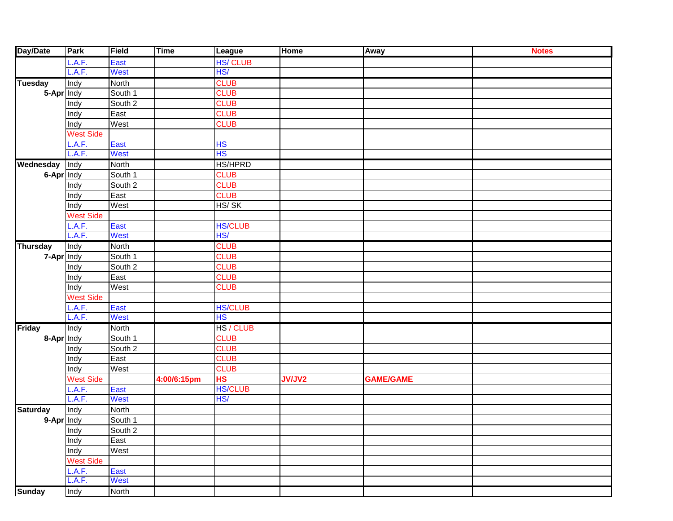| Day/Date        | Park             | Field       | Time        | League         | <b>Home</b>   | Away             | <b>Notes</b> |
|-----------------|------------------|-------------|-------------|----------------|---------------|------------------|--------------|
|                 | A.F.             | East        |             | <b>HS/CLUB</b> |               |                  |              |
|                 | L.A.F.           | <b>West</b> |             | HS/            |               |                  |              |
| <b>Tuesday</b>  | Indy             | North       |             | <b>CLUB</b>    |               |                  |              |
| 5-Apr Indy      |                  | South 1     |             | <b>CLUB</b>    |               |                  |              |
|                 | Indy             | South 2     |             | <b>CLUB</b>    |               |                  |              |
|                 | Indy             | East        |             | <b>CLUB</b>    |               |                  |              |
|                 | Indy             | West        |             | <b>CLUB</b>    |               |                  |              |
|                 | West Side        |             |             |                |               |                  |              |
|                 | .A.F.            | East        |             | <b>HS</b>      |               |                  |              |
|                 | L.A.F.           | West        |             | HS             |               |                  |              |
| Wednesday       | Indy             | North       |             | <b>HS/HPRD</b> |               |                  |              |
| 6-Apr Indy      |                  | South 1     |             | <b>CLUB</b>    |               |                  |              |
|                 | Indy             | South 2     |             | <b>CLUB</b>    |               |                  |              |
|                 | Indy             | East        |             | <b>CLUB</b>    |               |                  |              |
|                 | Indy             | West        |             | HS/SK          |               |                  |              |
|                 | West Side        |             |             |                |               |                  |              |
|                 | .A.F.            | East        |             | <b>HS/CLUB</b> |               |                  |              |
|                 | L.A.F.           | West        |             | HS/            |               |                  |              |
| <b>Thursday</b> | Indy             | North       |             | <b>CLUB</b>    |               |                  |              |
| 7-Apr Indy      |                  | South 1     |             | <b>CLUB</b>    |               |                  |              |
|                 | Indy             | South 2     |             | <b>CLUB</b>    |               |                  |              |
|                 | Indy             | East        |             | <b>CLUB</b>    |               |                  |              |
|                 | Indy             | West        |             | <b>CLUB</b>    |               |                  |              |
|                 | West Side        |             |             |                |               |                  |              |
|                 | .A.F.            | East        |             | <b>HS/CLUB</b> |               |                  |              |
|                 | L.A.F.           | West        |             | <b>HS</b>      |               |                  |              |
| <b>Friday</b>   | Indy             | North       |             | HS / CLUB      |               |                  |              |
| 8-Apr Indy      |                  | South 1     |             | <b>CLUB</b>    |               |                  |              |
|                 | Indy             | South 2     |             | <b>CLUB</b>    |               |                  |              |
|                 | Indy             | East        |             | <b>CLUB</b>    |               |                  |              |
|                 | Indy             | West        |             | <b>CLUB</b>    |               |                  |              |
|                 | West Side        |             | 4:00/6:15pm | <b>HS</b>      | <b>JV/JV2</b> | <b>GAME/GAME</b> |              |
|                 | .A.F.            | East        |             | <b>HS/CLUB</b> |               |                  |              |
|                 | L.A.F.           | West        |             | HS/            |               |                  |              |
| <b>Saturday</b> | Indy             | North       |             |                |               |                  |              |
| 9-Apr Indy      |                  | South 1     |             |                |               |                  |              |
|                 | Indy             | South 2     |             |                |               |                  |              |
|                 | Indy             | East        |             |                |               |                  |              |
|                 | Indy             | West        |             |                |               |                  |              |
|                 | <b>West Side</b> |             |             |                |               |                  |              |
|                 | L.A.F.           | East        |             |                |               |                  |              |
|                 | L.A.F.           | <b>West</b> |             |                |               |                  |              |
| Sunday          | Indy             | North       |             |                |               |                  |              |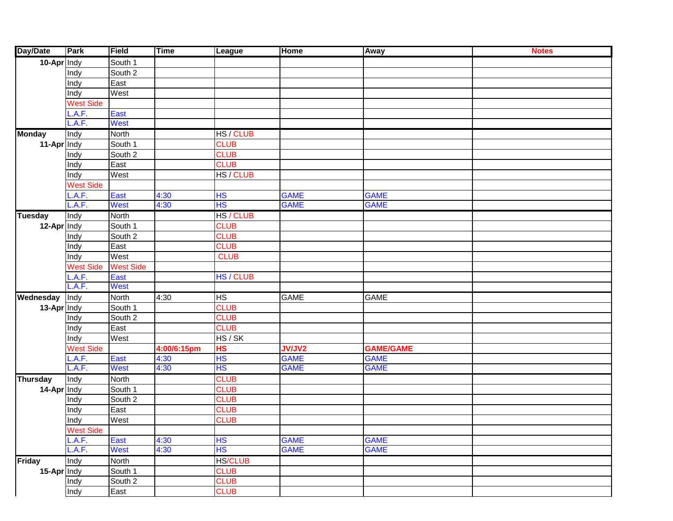| Day/Date        | <b>Park</b>      | Field            | <b>Time</b> | League         | <b>Home</b>   | Away             | <b>Notes</b> |
|-----------------|------------------|------------------|-------------|----------------|---------------|------------------|--------------|
| 10-Apr Indy     |                  | South 1          |             |                |               |                  |              |
|                 | Indy             | South 2          |             |                |               |                  |              |
|                 | Indy             | East             |             |                |               |                  |              |
|                 | Indy             | West             |             |                |               |                  |              |
|                 | <b>West Side</b> |                  |             |                |               |                  |              |
|                 | .A.F.            | East             |             |                |               |                  |              |
|                 | L.A.F.           | West             |             |                |               |                  |              |
| <b>Monday</b>   | Indy             | North            |             | HS / CLUB      |               |                  |              |
| 11-Apr Indy     |                  | South 1          |             | <b>CLUB</b>    |               |                  |              |
|                 | Indy             | South 2          |             | <b>CLUB</b>    |               |                  |              |
|                 | Indy             | East             |             | <b>CLUB</b>    |               |                  |              |
|                 | Indy             | West             |             | HS / CLUB      |               |                  |              |
|                 | <b>West Side</b> |                  |             |                |               |                  |              |
|                 | .A.F.            | East             | 4:30        | HS             | <b>GAME</b>   | <b>GAME</b>      |              |
|                 | L.A.F.           | West             | 4:30        | <b>HS</b>      | <b>GAME</b>   | <b>GAME</b>      |              |
| <b>Tuesday</b>  | Indy             | North            |             | HS / CLUB      |               |                  |              |
| 12-Apr Indy     |                  | South 1          |             | <b>CLUB</b>    |               |                  |              |
|                 | Indy             | South 2          |             | <b>CLUB</b>    |               |                  |              |
|                 | Indy             | East             |             | <b>CLUB</b>    |               |                  |              |
|                 | Indy             | West             |             | <b>CLUB</b>    |               |                  |              |
|                 | <b>West Side</b> | <b>West Side</b> |             |                |               |                  |              |
|                 | .A.F.            | East             |             | HS / CLUB      |               |                  |              |
|                 | L.A.F.           | West             |             |                |               |                  |              |
| Wednesday       | Indy             | North            | 4:30        | HS             | <b>GAME</b>   | <b>GAME</b>      |              |
| 13-Apr Indy     |                  | South 1          |             | <b>CLUB</b>    |               |                  |              |
|                 | Indy             | South 2          |             | <b>CLUB</b>    |               |                  |              |
|                 | Indy             | East             |             | <b>CLUB</b>    |               |                  |              |
|                 | Indy             | West             |             | HS/SK          |               |                  |              |
|                 | <b>West Side</b> |                  | 4:00/6:15pm | HS             | <b>JV/JV2</b> | <b>GAME/GAME</b> |              |
|                 | .A.F.            | East             | 4:30        | <b>HS</b>      | <b>GAME</b>   | <b>GAME</b>      |              |
|                 | L.A.F.           | West             | 4:30        | HS             | <b>GAME</b>   | <b>GAME</b>      |              |
| <b>Thursday</b> | Indy             | North            |             | <b>CLUB</b>    |               |                  |              |
| 14-Apr Indy     |                  | South 1          |             | <b>CLUB</b>    |               |                  |              |
|                 | Indy             | South 2          |             | <b>CLUB</b>    |               |                  |              |
|                 | Indy             | East             |             | <b>CLUB</b>    |               |                  |              |
|                 | Indy             | West             |             | <b>CLUB</b>    |               |                  |              |
|                 | West Side        |                  |             |                |               |                  |              |
|                 | L.A.F.           | East             | 4:30        | HS             | <b>GAME</b>   | <b>GAME</b>      |              |
|                 | L.A.F.           | <b>West</b>      | 4:30        | <b>HS</b>      | <b>GAME</b>   | <b>GAME</b>      |              |
| <b>Friday</b>   | Indy             | <b>North</b>     |             | <b>HS/CLUB</b> |               |                  |              |
| 15-Apr Indy     |                  | South 1          |             | <b>CLUB</b>    |               |                  |              |
|                 | Indy             | South 2          |             | <b>CLUB</b>    |               |                  |              |
|                 | Indy             | East             |             | <b>CLUB</b>    |               |                  |              |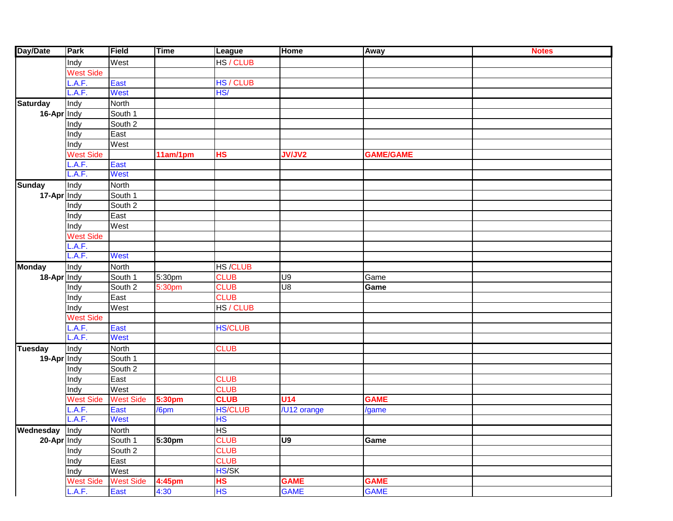| Day/Date              | Park             | Field            | <b>Time</b>        | League         | Home            | Away             | <b>Notes</b> |
|-----------------------|------------------|------------------|--------------------|----------------|-----------------|------------------|--------------|
|                       | Indy             | West             |                    | HS / CLUB      |                 |                  |              |
|                       | West Side        |                  |                    |                |                 |                  |              |
|                       | .A.F.            | East             |                    | HS / CLUB      |                 |                  |              |
|                       | A.F.             | West             |                    | HS/            |                 |                  |              |
| <b>Saturday</b>       | Indy             | North            |                    |                |                 |                  |              |
| 16-Apr Indy           |                  | South 1          |                    |                |                 |                  |              |
|                       | Indy             | South 2          |                    |                |                 |                  |              |
|                       | Indy             | East             |                    |                |                 |                  |              |
|                       | Indy             | West             |                    |                |                 |                  |              |
|                       | West Side        |                  | 11am/1pm           | <b>HS</b>      | <b>JV/JV2</b>   | <b>GAME/GAME</b> |              |
|                       | A.F.             | East             |                    |                |                 |                  |              |
|                       | A.F.             | West             |                    |                |                 |                  |              |
| <b>Sunday</b>         | Indy             | North            |                    |                |                 |                  |              |
| 17-Apr Indy           |                  | South 1          |                    |                |                 |                  |              |
|                       | Indy             | South 2          |                    |                |                 |                  |              |
|                       | Indy             | East             |                    |                |                 |                  |              |
|                       | Indy             | West             |                    |                |                 |                  |              |
|                       | West Side        |                  |                    |                |                 |                  |              |
|                       | A.F.             |                  |                    |                |                 |                  |              |
|                       | A.F.             | West             |                    |                |                 |                  |              |
| <b>Monday</b>         | Indy             | North            |                    | <b>HS/CLUB</b> |                 |                  |              |
| 18-Apr Indy           |                  | South 1          | 5:30 <sub>pm</sub> | <b>CLUB</b>    | U9              | Game             |              |
|                       | Indy             | South 2          | 5:30pm             | <b>CLUB</b>    | $\overline{5}$  | Game             |              |
|                       | Indy             | East             |                    | <b>CLUB</b>    |                 |                  |              |
|                       | Indy             | West             |                    | HS / CLUB      |                 |                  |              |
|                       | West Side        |                  |                    |                |                 |                  |              |
|                       | .A.F.            | East             |                    | <b>HS/CLUB</b> |                 |                  |              |
|                       | L.A.F.           | West             |                    |                |                 |                  |              |
| <b>Tuesday</b>        | Indy             | North            |                    | <b>CLUB</b>    |                 |                  |              |
| 19-Apr Indy           |                  | South 1          |                    |                |                 |                  |              |
|                       | Indy             | South 2          |                    |                |                 |                  |              |
|                       | Indy             | East             |                    | <b>CLUB</b>    |                 |                  |              |
|                       | Indy             | West             |                    | <b>CLUB</b>    |                 |                  |              |
|                       | West Side        | <b>West Side</b> | <b>5:30pm</b>      | <b>CLUB</b>    | U <sub>14</sub> | <b>GAME</b>      |              |
|                       | A.F.             | East             | /6pm               | <b>HS/CLUB</b> | /U12 orange     | /game            |              |
|                       | A.F.             | West             |                    | <b>HS</b>      |                 |                  |              |
| <b>Wednesday</b> Indy |                  | North            |                    | HS             |                 |                  |              |
| 20-Apr Indy           |                  | South 1          | 5:30pm             | <b>CLUB</b>    | U9              | Game             |              |
|                       | Indy             | South 2          |                    | <b>CLUB</b>    |                 |                  |              |
|                       | Indy             | East             |                    | <b>CLUB</b>    |                 |                  |              |
|                       | Indy             | West             |                    | HS/SK          |                 |                  |              |
|                       | <b>West Side</b> | <b>West Side</b> | 4:45pm             | <b>HS</b>      | <b>GAME</b>     | <b>GAME</b>      |              |
|                       | L.A.F.           | East             | 4:30               | <b>HS</b>      | <b>GAME</b>     | <b>GAME</b>      |              |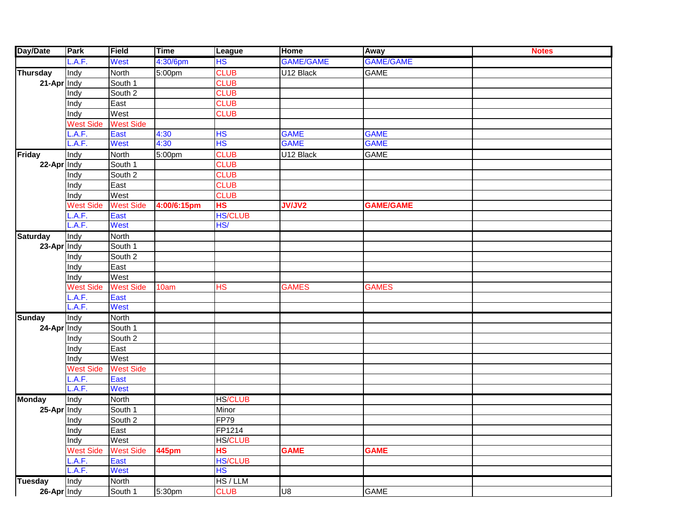| Day/Date        | Park             | Field            | <b>Time</b>        | League         | <b>Home</b>      | Away             | <b>Notes</b> |
|-----------------|------------------|------------------|--------------------|----------------|------------------|------------------|--------------|
|                 | L.A.F.           | West             | 4:30/6pm           | <b>HS</b>      | <b>GAME/GAME</b> | <b>GAME/GAME</b> |              |
| <b>Thursday</b> | Indy             | North            | 5:00pm             | <b>CLUB</b>    | U12 Black        | <b>GAME</b>      |              |
| 21-Apr Indy     |                  | South 1          |                    | <b>CLUB</b>    |                  |                  |              |
|                 | Indy             | South 2          |                    | <b>CLUB</b>    |                  |                  |              |
|                 | Indy             | East             |                    | <b>CLUB</b>    |                  |                  |              |
|                 | Indy             | West             |                    | <b>CLUB</b>    |                  |                  |              |
|                 | West Side        | <b>West Side</b> |                    |                |                  |                  |              |
|                 | .A.F.            | East             | 4:30               | HS             | <b>GAME</b>      | <b>GAME</b>      |              |
|                 | A.F.             | <b>West</b>      | 4:30               | <b>HS</b>      | <b>GAME</b>      | <b>GAME</b>      |              |
| <b>Friday</b>   | Indy             | North            | 5:00 <sub>pm</sub> | <b>CLUB</b>    | U12 Black        | <b>GAME</b>      |              |
| 22-Apr Indy     |                  | South 1          |                    | <b>CLUB</b>    |                  |                  |              |
|                 | Indy             | South 2          |                    | <b>CLUB</b>    |                  |                  |              |
|                 | Indy             | East             |                    | <b>CLUB</b>    |                  |                  |              |
|                 | Indy             | West             |                    | <b>CLUB</b>    |                  |                  |              |
|                 | West Side        | <b>West Side</b> | 4:00/6:15pm        | <b>HS</b>      | <b>JV/JV2</b>    | <b>GAME/GAME</b> |              |
|                 | .A.F.            | East             |                    | <b>HS/CLUB</b> |                  |                  |              |
|                 | L.A.F.           | <b>West</b>      |                    | HS/            |                  |                  |              |
| <b>Saturday</b> | Indy             | North            |                    |                |                  |                  |              |
| 23-Apr Indy     |                  | South 1          |                    |                |                  |                  |              |
|                 | Indy             | South 2          |                    |                |                  |                  |              |
|                 | Indy             | East             |                    |                |                  |                  |              |
|                 | Indy             | West             |                    |                |                  |                  |              |
|                 | West Side        | <b>West Side</b> | 10am               | <b>HS</b>      | <b>GAMES</b>     | <b>GAMES</b>     |              |
|                 | .A.F.            | East             |                    |                |                  |                  |              |
|                 | L.A.F.           | <b>West</b>      |                    |                |                  |                  |              |
| <b>Sunday</b>   | Indy             | North            |                    |                |                  |                  |              |
| 24-Apr Indy     |                  | South 1          |                    |                |                  |                  |              |
|                 | Indy             | South 2          |                    |                |                  |                  |              |
|                 | Indy             | East             |                    |                |                  |                  |              |
|                 | Indy             | West             |                    |                |                  |                  |              |
|                 | West Side        | <b>West Side</b> |                    |                |                  |                  |              |
|                 | .A.F.            | East             |                    |                |                  |                  |              |
|                 | L.A.F.           | <b>West</b>      |                    |                |                  |                  |              |
| <b>Monday</b>   | Indy             | <b>North</b>     |                    | <b>HS/CLUB</b> |                  |                  |              |
| 25-Apr Indy     |                  | South 1          |                    | Minor          |                  |                  |              |
|                 | Indy             | South 2          |                    | <b>FP79</b>    |                  |                  |              |
|                 | <b>Indy</b>      | East             |                    | FP1214         |                  |                  |              |
|                 | Indy             | West             |                    | <b>HS/CLUB</b> |                  |                  |              |
|                 | <b>West Side</b> | <b>West Side</b> | <b>445pm</b>       | <b>HS</b>      | <b>GAME</b>      | <b>GAME</b>      |              |
|                 | L.A.F.           | East             |                    | <b>HS/CLUB</b> |                  |                  |              |
|                 | L.A.F.           | <b>West</b>      |                    | <b>HS</b>      |                  |                  |              |
| <b>Tuesday</b>  | Indy             | North            |                    | HS/LLM         |                  |                  |              |
| 26-Apr Indy     |                  | South 1          | 5:30pm             | <b>CLUB</b>    | U8               | GAME             |              |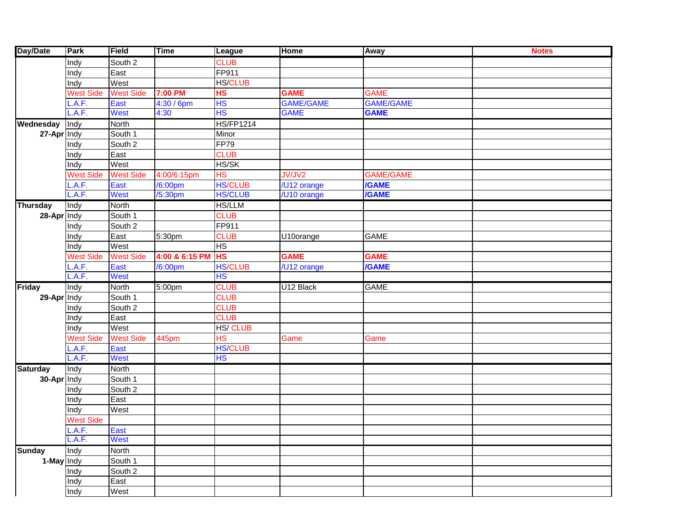| Day/Date        | Park             | Field            | <b>Time</b>          | <b>League</b>            | Home             | Away             | <b>Notes</b> |
|-----------------|------------------|------------------|----------------------|--------------------------|------------------|------------------|--------------|
|                 | Indy             | South 2          |                      | <b>CLUB</b>              |                  |                  |              |
|                 | Indy             | East             |                      | FP911                    |                  |                  |              |
|                 | Indy             | West             |                      | <b>HS/CLUB</b>           |                  |                  |              |
|                 | <b>West Side</b> | <b>West Side</b> | 7:00 PM              | <b>HS</b>                | <b>GAME</b>      | <b>GAME</b>      |              |
|                 | .A.F.            | East             | 4:30 / 6pm           | <b>HS</b>                | <b>GAME/GAME</b> | <b>GAME/GAME</b> |              |
|                 | L.A.F.           | <b>West</b>      | 4:30                 | <b>HS</b>                | <b>GAME</b>      | <b>GAME</b>      |              |
| Wednesday       | Indy             | North            |                      | <b>HS/FP1214</b>         |                  |                  |              |
| 27-Apr Indy     |                  | South 1          |                      | Minor                    |                  |                  |              |
|                 | Indy             | South 2          |                      | <b>FP79</b>              |                  |                  |              |
|                 | Indy             | East             |                      | <b>CLUB</b>              |                  |                  |              |
|                 | Indy             | West             |                      | HS/SK                    |                  |                  |              |
|                 | <b>West Side</b> | <b>West Side</b> | 4:00/6:15pm          | HS                       | JV/JV2           | <b>GAME/GAME</b> |              |
|                 | L.A.F.           | East             | /6:00pm              | <b>HS/CLUB</b>           | /U12 orange      | <b>/GAME</b>     |              |
|                 | L.A.F.           | <b>West</b>      | /5:30pm              | <b>HS/CLUB</b>           | /U10 orange      | <b>/GAME</b>     |              |
| <b>Thursday</b> | Indy             | North            |                      | <b>HS/LLM</b>            |                  |                  |              |
| 28-Apr Indy     |                  | South 1          |                      | <b>CLUB</b>              |                  |                  |              |
|                 | Indy             | South 2          |                      | FP911                    |                  |                  |              |
|                 | Indy             | East             | $\overline{5:}30$ pm | <b>CLUB</b>              | U10orange        | <b>GAME</b>      |              |
|                 | Indy             | West             |                      | HS                       |                  |                  |              |
|                 | <b>West Side</b> | <b>West Side</b> | 4:00 & 6:15 PM       | <b>HS</b>                | <b>GAME</b>      | <b>GAME</b>      |              |
|                 | L.A.F.           | East             | /6:00pm              | <b>HS/CLUB</b>           | /U12 orange      | <b>/GAME</b>     |              |
|                 | L.A.F.           | West             |                      | <b>HS</b>                |                  |                  |              |
| <b>Friday</b>   | Indy             | North            | 5:00pm               | <b>CLUB</b>              | U12 Black        | <b>GAME</b>      |              |
| 29-Apr Indy     |                  | South 1          |                      | <b>CLUB</b>              |                  |                  |              |
|                 | Indy             | South 2          |                      | <b>CLUB</b>              |                  |                  |              |
|                 | Indy             | East             |                      | <b>CLUB</b>              |                  |                  |              |
|                 | Indy             | West             |                      | <b>HS/CLUB</b>           |                  |                  |              |
|                 | <b>West Side</b> | <b>West Side</b> | 445pm                | $\overline{\mathsf{HS}}$ | Game             | Game             |              |
|                 | L.A.F.           | East             |                      | <b>HS/CLUB</b>           |                  |                  |              |
|                 | L.A.F.           | West             |                      | <b>HS</b>                |                  |                  |              |
| <b>Saturday</b> | Indy             | North            |                      |                          |                  |                  |              |
| 30-Apr Indy     |                  | South 1          |                      |                          |                  |                  |              |
|                 | Indy             | South 2          |                      |                          |                  |                  |              |
|                 | Indy             | East             |                      |                          |                  |                  |              |
|                 | Indy             | West             |                      |                          |                  |                  |              |
|                 | <b>West Side</b> |                  |                      |                          |                  |                  |              |
|                 | L.A.F.           | East             |                      |                          |                  |                  |              |
|                 | L.A.F.           | West             |                      |                          |                  |                  |              |
| <b>Sunday</b>   | Indy             | <b>North</b>     |                      |                          |                  |                  |              |
| 1-May Indy      |                  | South 1          |                      |                          |                  |                  |              |
|                 | Indy             | South 2          |                      |                          |                  |                  |              |
|                 | Indy             | East             |                      |                          |                  |                  |              |
|                 | Indy             | West             |                      |                          |                  |                  |              |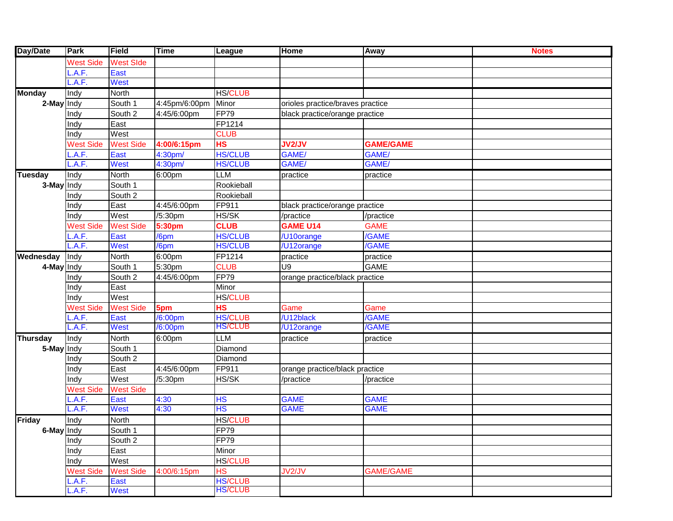| Day/Date        | Park             | Field            | <b>Time</b>   | League         | Home                             | Away             | <b>Notes</b> |
|-----------------|------------------|------------------|---------------|----------------|----------------------------------|------------------|--------------|
|                 | <b>West Side</b> | <b>West SIde</b> |               |                |                                  |                  |              |
|                 | A.F.             | East             |               |                |                                  |                  |              |
|                 | A.F.             | West             |               |                |                                  |                  |              |
| <b>Monday</b>   | Indy             | <b>North</b>     |               | <b>HS/CLUB</b> |                                  |                  |              |
| 2-May Indy      |                  | South 1          | 4:45pm/6:00pm | Minor          | orioles practice/braves practice |                  |              |
|                 | Indy             | South 2          | 4:45/6:00pm   | <b>FP79</b>    | black practice/orange practice   |                  |              |
|                 | Indy             | East             |               | FP1214         |                                  |                  |              |
|                 | Indy             | West             |               | <b>CLUB</b>    |                                  |                  |              |
|                 | <b>West Side</b> | <b>West Side</b> | 4:00/6:15pm   | HS             | <b>JV2/JV</b>                    | <b>GAME/GAME</b> |              |
|                 | A.F.             | East             | 4:30pm/       | <b>HS/CLUB</b> | GAME/                            | GAME/            |              |
|                 | A.F.             | <b>West</b>      | 4:30pm/       | <b>HS/CLUB</b> | GAME/                            | GAME/            |              |
| <b>Tuesday</b>  | Indy             | <b>North</b>     | 6:00pm        | <b>LLM</b>     | practice                         | practice         |              |
| 3-May Indy      |                  | South 1          |               | Rookieball     |                                  |                  |              |
|                 | Indy             | South 2          |               | Rookieball     |                                  |                  |              |
|                 | Indy             | East             | 4:45/6:00pm   | FP911          | black practice/orange practice   |                  |              |
|                 | Indy             | West             | /5:30pm       | HS/SK          | /practice                        | /practice        |              |
|                 | <b>West Side</b> | <b>West Side</b> | 5:30pm        | <b>CLUB</b>    | <b>GAME U14</b>                  | <b>GAME</b>      |              |
|                 | A.F.             | East             | /6pm          | <b>HS/CLUB</b> | /U10orange                       | /GAME            |              |
|                 | A.F.             | <b>West</b>      | /6pm          | <b>HS/CLUB</b> | /U12orange                       | /GAME            |              |
| Wednesday       | Indy             | <b>North</b>     | 6:00pm        | FP1214         | practice                         | practice         |              |
| 4-May Indy      |                  | South 1          | 5:30pm        | <b>CLUB</b>    | U9                               | <b>GAME</b>      |              |
|                 | Indy             | South 2          | 4:45/6:00pm   | <b>FP79</b>    | orange practice/black practice   |                  |              |
|                 | Indy             | East             |               | Minor          |                                  |                  |              |
|                 | Indy             | West             |               | <b>HS/CLUB</b> |                                  |                  |              |
|                 | <b>West Side</b> | <b>West Side</b> | 5pm           | <b>HS</b>      | Game                             | Game             |              |
|                 | A.F.             | East             | /6:00pm       | <b>HS/CLUB</b> | /U12black                        | /GAME            |              |
|                 | .A.F.            | <b>West</b>      | /6:00pm       | <b>HS/CLUB</b> | /U12orange                       | /GAME            |              |
| <b>Thursday</b> | Indy             | North            | 6:00pm        | <b>LLM</b>     | practice                         | practice         |              |
| 5-May Indy      |                  | South 1          |               | Diamond        |                                  |                  |              |
|                 | Indy             | South 2          |               | Diamond        |                                  |                  |              |
|                 | Indy             | East             | 4:45/6:00pm   | FP911          | orange practice/black practice   |                  |              |
|                 | Indy             | West             | /5:30pm       | HS/SK          | /practice                        | /practice        |              |
|                 | <b>West Side</b> | <b>West Side</b> |               |                |                                  |                  |              |
|                 | .A.F.            | East             | 4:30          | <b>HS</b>      | <b>GAME</b>                      | <b>GAME</b>      |              |
|                 | A.F.             | <b>West</b>      | 4:30          | <b>HS</b>      | <b>GAME</b>                      | <b>GAME</b>      |              |
| <b>Friday</b>   | Indy             | North            |               | <b>HS/CLUB</b> |                                  |                  |              |
| 6-May Indy      |                  | South 1          |               | FP79           |                                  |                  |              |
|                 | Indy             | South 2          |               | <b>FP79</b>    |                                  |                  |              |
|                 | Indy             | East             |               | Minor          |                                  |                  |              |
|                 | Indy             | West             |               | <b>HS/CLUB</b> |                                  |                  |              |
|                 | <b>West Side</b> | <b>West Side</b> | 4:00/6:15pm   | <b>HS</b>      | JV2/JV                           | <b>GAME/GAME</b> |              |
|                 | L.A.F.           | East             |               | <b>HS/CLUB</b> |                                  |                  |              |
|                 | L.A.F.           | West             |               | <b>HS/CLUB</b> |                                  |                  |              |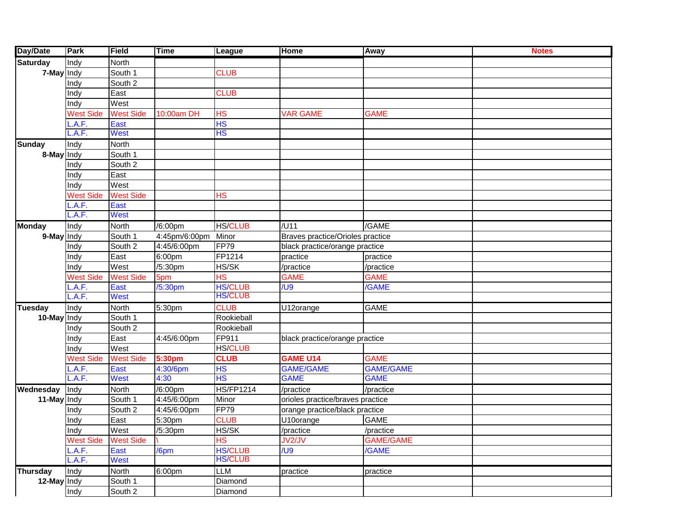| Day/Date        | Park             | Field            | <b>Time</b>         | League                   | Home                             | Away               | <b>Notes</b> |
|-----------------|------------------|------------------|---------------------|--------------------------|----------------------------------|--------------------|--------------|
| <b>Saturday</b> | Indy             | North            |                     |                          |                                  |                    |              |
| 7-May Indy      |                  | South 1          |                     | <b>CLUB</b>              |                                  |                    |              |
|                 | Indy             | South 2          |                     |                          |                                  |                    |              |
|                 | Indy             | East             |                     | <b>CLUB</b>              |                                  |                    |              |
|                 | Indy             | West             |                     |                          |                                  |                    |              |
|                 | <b>West Side</b> | <b>West Side</b> | 10:00am DH          | <b>HS</b>                | <b>VAR GAME</b>                  | <b>GAME</b>        |              |
|                 | .A.F.            | East             |                     | <b>HS</b>                |                                  |                    |              |
|                 | .A.F.            | <b>West</b>      |                     | <b>HS</b>                |                                  |                    |              |
| <b>Sunday</b>   | Indy             | North            |                     |                          |                                  |                    |              |
| 8-May Indy      |                  | South 1          |                     |                          |                                  |                    |              |
|                 | Indy             | South 2          |                     |                          |                                  |                    |              |
|                 | Indy             | East             |                     |                          |                                  |                    |              |
|                 | Indy             | West             |                     |                          |                                  |                    |              |
|                 | <b>West Side</b> | <b>West Side</b> |                     | HS                       |                                  |                    |              |
|                 | .A.F.            | East             |                     |                          |                                  |                    |              |
|                 | .A.F.            | <b>West</b>      |                     |                          |                                  |                    |              |
| <b>Monday</b>   | Indy             | North            | /6:00pm             | <b>HS/CLUB</b>           | /U11                             | /GAME              |              |
| 9-May Indy      |                  | South 1          | 4:45pm/6:00pm Minor |                          | Braves practice/Orioles practice |                    |              |
|                 | Indy             | South 2          | 4:45/6:00pm         | <b>FP79</b>              | black practice/orange practice   |                    |              |
|                 | Indy             | East             | 6:00pm              | FP1214                   | practice                         | practice           |              |
|                 | Indy             | West             | /5:30pm             | HS/SK                    | /practice                        | /practice          |              |
|                 | <b>West Side</b> | <b>West Side</b> | 5pm                 | $\overline{\mathsf{HS}}$ | <b>GAME</b>                      | <b>GAME</b>        |              |
|                 | .A.F.            | East             | /5:30pm             | <b>HS/CLUB</b>           | / <sup>1</sup>                   | /GAME              |              |
|                 | A.F.             | <b>West</b>      |                     | <b>HS/CLUB</b>           |                                  |                    |              |
| <b>Tuesday</b>  | Indy             | North            | 5:30 <sub>pm</sub>  | <b>CLUB</b>              | U12orange                        | <b>GAME</b>        |              |
| 10-May Indy     |                  | South 1          |                     | Rookieball               |                                  |                    |              |
|                 | Indy             | South 2          |                     | Rookieball               |                                  |                    |              |
|                 | Indy             | East             | 4:45/6:00pm         | FP911                    | black practice/orange practice   |                    |              |
|                 | Indy             | West             |                     | <b>HS/CLUB</b>           |                                  |                    |              |
|                 | <b>West Side</b> | <b>West Side</b> | 5:30pm              | <b>CLUB</b>              | <b>GAME U14</b>                  | <b>GAME</b>        |              |
|                 | .A.F.            | East             | 4:30/6pm            | HS                       | <b>GAME/GAME</b>                 | <b>GAME/GAME</b>   |              |
|                 | .A.F.            | <b>West</b>      | 4:30                | <b>HS</b>                | <b>GAME</b>                      | <b>GAME</b>        |              |
| Wednesday       | Indy             | North            | /6:00pm             | <b>HS/FP1214</b>         | $\sqrt{p}$ ractice               | $\sqrt{p}$ ractice |              |
| 11-May Indy     |                  | South 1          | 4:45/6:00pm         | Minor                    | orioles practice/braves practice |                    |              |
|                 | Indy             | South 2          | 4:45/6:00pm         | <b>FP79</b>              | orange practice/black practice   |                    |              |
|                 | Indy             | East             | 5:30pm              | <b>CLUB</b>              | U10orange                        | <b>GAME</b>        |              |
|                 | Indy             | West             | /5:30pm             | HS/SK                    | /practice                        | /practice          |              |
|                 | <b>West Side</b> | <b>West Side</b> |                     | $\overline{\mathsf{HS}}$ | JV2/JV                           | <b>GAME/GAME</b>   |              |
|                 | .A.F.            | East             | /6pm                | <b>HS/CLUB</b>           | / <sup>1</sup>                   | /GAME              |              |
|                 | .A.F.            | <b>West</b>      |                     | <b>HS/CLUB</b>           |                                  |                    |              |
| <b>Thursday</b> | Indy             | North            | 6:00pm              | LLM                      | practice                         | practice           |              |
| 12-May Indy     |                  | South 1          |                     | Diamond                  |                                  |                    |              |
|                 | Indy             | South 2          |                     | Diamond                  |                                  |                    |              |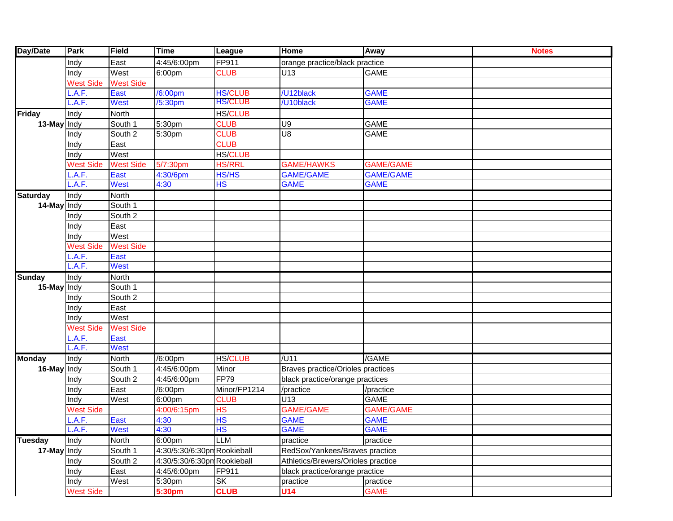| Day/Date        | Park             | Field            | <b>Time</b>                 | League         | Home                               | Away             | <b>Notes</b> |
|-----------------|------------------|------------------|-----------------------------|----------------|------------------------------------|------------------|--------------|
|                 | Indy             | East             | 4:45/6:00pm                 | FP911          | orange practice/black practice     |                  |              |
|                 | Indy             | West             | 6:00pm                      | <b>CLUB</b>    | U13                                | <b>GAME</b>      |              |
|                 | <b>West Side</b> | <b>West Side</b> |                             |                |                                    |                  |              |
|                 | .A.F.            | East             | /6:00pm                     | <b>HS/CLUB</b> | /U12black                          | <b>GAME</b>      |              |
|                 | .A.F.            | <b>West</b>      | /5:30pm                     | <b>HS/CLUB</b> | /U10black                          | <b>GAME</b>      |              |
| Friday          | Indy             | North            |                             | <b>HS/CLUB</b> |                                    |                  |              |
| 13-May Indy     |                  | South 1          | 5:30pm                      | <b>CLUB</b>    | U9                                 | <b>GAME</b>      |              |
|                 | Indy             | South 2          | 5:30pm                      | <b>CLUB</b>    | U8                                 | <b>GAME</b>      |              |
|                 | Indy             | East             |                             | <b>CLUB</b>    |                                    |                  |              |
|                 | Indy             | West             |                             | <b>HS/CLUB</b> |                                    |                  |              |
|                 | <b>West Side</b> | <b>West Side</b> | 5/7:30pm                    | <b>HS/RRL</b>  | <b>GAME/HAWKS</b>                  | <b>GAME/GAME</b> |              |
|                 | .A.F.            | East             | 4:30/6pm                    | <b>HS/HS</b>   | <b>GAME/GAME</b>                   | <b>GAME/GAME</b> |              |
|                 | L.A.F.           | <b>West</b>      | 4:30                        | <b>HS</b>      | <b>GAME</b>                        | <b>GAME</b>      |              |
| <b>Saturday</b> | Indy             | <b>North</b>     |                             |                |                                    |                  |              |
| 14-May Indy     |                  | South 1          |                             |                |                                    |                  |              |
|                 | Indy             | South 2          |                             |                |                                    |                  |              |
|                 | Indy             | East             |                             |                |                                    |                  |              |
|                 | Indy             | West             |                             |                |                                    |                  |              |
|                 | <b>West Side</b> | <b>West Side</b> |                             |                |                                    |                  |              |
|                 | .A.F.            | East             |                             |                |                                    |                  |              |
|                 | L.A.F.           | <b>West</b>      |                             |                |                                    |                  |              |
| <b>Sunday</b>   | Indy             | <b>North</b>     |                             |                |                                    |                  |              |
| 15-May Indy     |                  | South 1          |                             |                |                                    |                  |              |
|                 | Indy             | South 2          |                             |                |                                    |                  |              |
|                 | Indy             | East             |                             |                |                                    |                  |              |
|                 | Indy             | West             |                             |                |                                    |                  |              |
|                 | <b>West Side</b> | <b>West Side</b> |                             |                |                                    |                  |              |
|                 | .A.F.            | East             |                             |                |                                    |                  |              |
|                 | L.A.F.           | <b>West</b>      |                             |                |                                    |                  |              |
| <b>Monday</b>   | Indy             | North            | $\sqrt{6:00}$ pm            | <b>HS/CLUB</b> | /U11                               | /GAME            |              |
| 16-May Indy     |                  | South 1          | 4:45/6:00pm                 | Minor          | Braves practice/Orioles practices  |                  |              |
|                 | Indy             | South 2          | 4:45/6:00pm                 | FP79           | black practice/orange practices    |                  |              |
|                 | Indy             | East             | /6:00pm                     | Minor/FP1214   | /practice                          | /practice        |              |
|                 | Indy             | West             | 6:00pm                      | <b>CLUB</b>    | U13                                | <b>GAME</b>      |              |
|                 | <b>West Side</b> |                  | 4:00/6:15pm                 | HS             | <b>GAME/GAME</b>                   | <b>GAME/GAME</b> |              |
|                 | .A.F.            | East             | 4:30                        | <b>HS</b>      | <b>GAME</b>                        | <b>GAME</b>      |              |
|                 | L.A.F.           | <b>West</b>      | 4:30                        | <b>IHS</b>     | <b>GAME</b>                        | <b>GAME</b>      |              |
| <b>Tuesday</b>  | Indy             | North            | 6:00pm                      | <b>LLM</b>     | practice                           | practice         |              |
| 17-May Indy     |                  | South 1          | 4:30/5:30/6:30pm Rookieball |                | RedSox/Yankees/Braves practice     |                  |              |
|                 | Indy             | South 2          | 4:30/5:30/6:30pm Rookieball |                | Athletics/Brewers/Orioles practice |                  |              |
|                 | Indy             | East             | 4:45/6:00pm                 | FP911          | black practice/orange practice     |                  |              |
|                 | Indy             | West             | 5:30pm                      | <b>SK</b>      | practice                           | practice         |              |
|                 | <b>West Side</b> |                  | 5:30pm                      | <b>CLUB</b>    | U14                                | <b>GAME</b>      |              |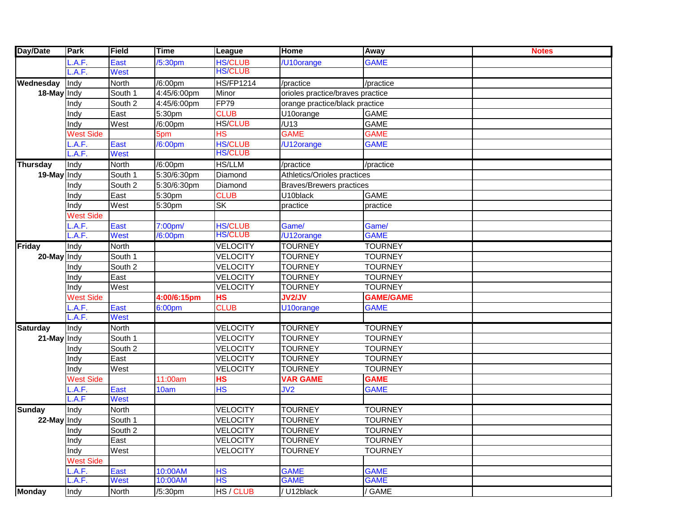| Day/Date        | Park             | Field        | <b>Time</b> | League                   | Home                             | Away             | <b>Notes</b> |
|-----------------|------------------|--------------|-------------|--------------------------|----------------------------------|------------------|--------------|
|                 | .A.F.            | East         | /5:30pm     | <b>HS/CLUB</b>           | /U10orange                       | <b>GAME</b>      |              |
|                 | .A.F.            | <b>West</b>  |             | <b>HS/CLUB</b>           |                                  |                  |              |
| Wednesday       | Indy             | <b>North</b> | /6:00pm     | <b>HS/FP1214</b>         | /practice                        | /practice        |              |
| 18-May Indy     |                  | South 1      | 4:45/6:00pm | Minor                    | orioles practice/braves practice |                  |              |
|                 | Indy             | South 2      | 4:45/6:00pm | FP79                     | orange practice/black practice   |                  |              |
|                 | Indy             | East         | 5:30pm      | <b>CLUB</b>              | U10orange                        | <b>GAME</b>      |              |
|                 | Indy             | West         | /6:00pm     | <b>HS/CLUB</b>           | /U13                             | <b>GAME</b>      |              |
|                 | <b>West Side</b> |              | 5pm         | <b>HS</b>                | <b>GAME</b>                      | <b>GAME</b>      |              |
|                 | .A.F.            | East         | /6:00pm     | <b>HS/CLUB</b>           | /U12orange                       | <b>GAME</b>      |              |
|                 | A.F.             | West         |             | <b>HS/CLUB</b>           |                                  |                  |              |
| <b>Thursday</b> | Indy             | <b>North</b> | /6:00pm     | <b>HS/LLM</b>            | /practice                        | /practice        |              |
| 19-May Indy     |                  | South 1      | 5:30/6:30pm | Diamond                  | Athletics/Orioles practices      |                  |              |
|                 | Indy             | South 2      | 5:30/6:30pm | Diamond                  | <b>Braves/Brewers practices</b>  |                  |              |
|                 | Indy             | East         | 5:30pm      | <b>CLUB</b>              | U10black                         | <b>GAME</b>      |              |
|                 | Indy             | West         | 5:30pm      | <b>SK</b>                | practice                         | practice         |              |
|                 | <b>West Side</b> |              |             |                          |                                  |                  |              |
|                 | .A.F.            | East         | 7:00pm/     | <b>HS/CLUB</b>           | Game/                            | Game/            |              |
|                 | A.F.             | <b>West</b>  | /6:00pm     | <b>HS/CLUB</b>           | /U12orange                       | <b>GAME</b>      |              |
| <b>Friday</b>   | Indy             | North        |             | <b>VELOCITY</b>          | <b>TOURNEY</b>                   | <b>TOURNEY</b>   |              |
| 20-May          | Indy             | South 1      |             | <b>VELOCITY</b>          | <b>TOURNEY</b>                   | <b>TOURNEY</b>   |              |
|                 | Indy             | South 2      |             | <b>VELOCITY</b>          | <b>TOURNEY</b>                   | <b>TOURNEY</b>   |              |
|                 | Indy             | East         |             | <b>VELOCITY</b>          | <b>TOURNEY</b>                   | <b>TOURNEY</b>   |              |
|                 | Indy             | West         |             | <b>VELOCITY</b>          | <b>TOURNEY</b>                   | <b>TOURNEY</b>   |              |
|                 | <b>West Side</b> |              | 4:00/6:15pm | <b>HS</b>                | <b>JV2/JV</b>                    | <b>GAME/GAME</b> |              |
|                 | .A.F.            | East         | 6:00pm      | <b>CLUB</b>              | U10orange                        | <b>GAME</b>      |              |
|                 | .A.F.            | <b>West</b>  |             |                          |                                  |                  |              |
| <b>Saturday</b> | Indy             | <b>North</b> |             | <b>VELOCITY</b>          | <b>TOURNEY</b>                   | <b>TOURNEY</b>   |              |
| 21-May Indy     |                  | South 1      |             | <b>VELOCITY</b>          | <b>TOURNEY</b>                   | <b>TOURNEY</b>   |              |
|                 | Indy             | South 2      |             | <b>VELOCITY</b>          | <b>TOURNEY</b>                   | <b>TOURNEY</b>   |              |
|                 | Indy             | East         |             | <b>VELOCITY</b>          | <b>TOURNEY</b>                   | <b>TOURNEY</b>   |              |
|                 | Indy             | West         |             | <b>VELOCITY</b>          | <b>TOURNEY</b>                   | <b>TOURNEY</b>   |              |
|                 | <b>West Side</b> |              | 11:00am     | <b>HS</b>                | <b>VAR GAME</b>                  | <b>GAME</b>      |              |
|                 | .A.F.            | East         | 10am        | $\overline{\mathsf{HS}}$ | JV2                              | <b>GAME</b>      |              |
|                 | .A.F             | <b>West</b>  |             |                          |                                  |                  |              |
| <b>Sunday</b>   | Indy             | North        |             | <b>VELOCITY</b>          | <b>TOURNEY</b>                   | <b>TOURNEY</b>   |              |
| 22-May Indy     |                  | South 1      |             | <b>VELOCITY</b>          | <b>TOURNEY</b>                   | <b>TOURNEY</b>   |              |
|                 | Indy             | South 2      |             | <b>VELOCITY</b>          | <b>TOURNEY</b>                   | <b>TOURNEY</b>   |              |
|                 | Indy             | East         |             | <b>VELOCITY</b>          | <b>TOURNEY</b>                   | <b>TOURNEY</b>   |              |
|                 | Indy             | West         |             | <b>VELOCITY</b>          | <b>TOURNEY</b>                   | <b>TOURNEY</b>   |              |
|                 | <b>West Side</b> |              |             |                          |                                  |                  |              |
|                 | L.A.F.           | East         | 10:00AM     | <b>HS</b>                | <b>GAME</b>                      | <b>GAME</b>      |              |
|                 | L.A.F.           | <b>West</b>  | 10:00AM     | HS                       | <b>GAME</b>                      | <b>GAME</b>      |              |
| <b>Monday</b>   | Indy             | North        | /5:30pm     | HS / CLUB                | / U12black                       | / GAME           |              |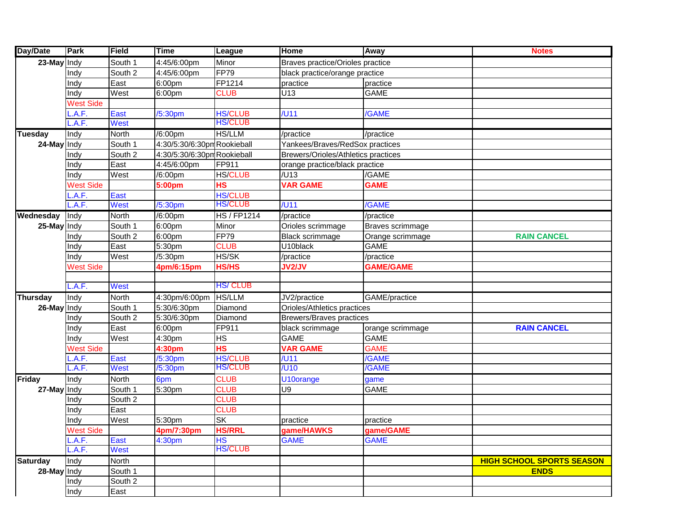| Day/Date        | Park             | <b>Field</b>                | <b>Time</b>                 | League             | Home                                | Away             | <b>Notes</b>                     |
|-----------------|------------------|-----------------------------|-----------------------------|--------------------|-------------------------------------|------------------|----------------------------------|
| 23-May Indy     |                  | South 1                     | 4:45/6:00pm                 | Minor              | Braves practice/Orioles practice    |                  |                                  |
|                 | Indy             | South 2                     | 4:45/6:00pm                 | <b>FP79</b>        | black practice/orange practice      |                  |                                  |
|                 | Indy             | East                        | 6:00pm                      | FP1214             | practice                            | practice         |                                  |
|                 | Indy             | West                        | 6:00pm                      | <b>CLUB</b>        | U13                                 | GAME             |                                  |
|                 | <b>West Side</b> |                             |                             |                    |                                     |                  |                                  |
|                 | A.F.             | East                        | /5:30pm                     | <b>HS/CLUB</b>     | $/$ U11                             | /GAME            |                                  |
|                 | .A.F.            | <b>West</b>                 |                             | HS/CLUB            |                                     |                  |                                  |
| <b>Tuesday</b>  | Indy             | North                       | /6:00pm                     | <b>HS/LLM</b>      | /practice                           | /practice        |                                  |
| 24-May Indy     |                  | South 1                     | 4:30/5:30/6:30pm Rookieball |                    | Yankees/Braves/RedSox practices     |                  |                                  |
|                 | Indy             | $\overline{\text{South 2}}$ | 4:30/5:30/6:30pm Rookieball |                    | Brewers/Orioles/Athletics practices |                  |                                  |
|                 | Indy             | East                        | 4:45/6:00pm                 | FP911              | orange practice/black practice      |                  |                                  |
|                 | Indy             | West                        | /6:00pm                     | <b>HS/CLUB</b>     | /U13                                | /GAME            |                                  |
|                 | <b>West Side</b> |                             | 5:00pm                      | <b>HS</b>          | <b>VAR GAME</b>                     | <b>GAME</b>      |                                  |
|                 | A.F.             | East                        |                             | <b>HS/CLUB</b>     |                                     |                  |                                  |
|                 | A.F.             | <b>West</b>                 | /5:30pm                     | <b>HS/CLUB</b>     | $/$ U11                             | /GAME            |                                  |
| Wednesday       | Indy             | North                       | /6:00pm                     | <b>HS / FP1214</b> | /practice                           | /practice        |                                  |
| 25-May Indy     |                  | South 1                     | 6:00pm                      | Minor              | Orioles scrimmage                   | Braves scrimmage |                                  |
|                 | Indy             | $\overline{\text{South 2}}$ | 6:00pm                      | <b>FP79</b>        | <b>Black scrimmage</b>              | Orange scrimmage | <b>RAIN CANCEL</b>               |
|                 | Indy             | East                        | 5:30pm                      | <b>CLUB</b>        | U10black                            | <b>GAME</b>      |                                  |
|                 | Indy             | West                        | /5:30pm                     | HS/SK              | /practice                           | /practice        |                                  |
|                 | <b>West Side</b> |                             | 4pm/6:15pm                  | <b>HS/HS</b>       | <b>JV2/JV</b>                       | <b>GAME/GAME</b> |                                  |
|                 |                  |                             |                             |                    |                                     |                  |                                  |
|                 | .A.F.            | <b>West</b>                 |                             | <b>HS/CLUB</b>     |                                     |                  |                                  |
| <b>Thursday</b> | Indy             | North                       | 4:30pm/6:00pm               | <b>HS/LLM</b>      | JV2/practice                        | GAME/practice    |                                  |
| 26-May Indy     |                  | South 1                     | 5:30/6:30pm                 | Diamond            | Orioles/Athletics practices         |                  |                                  |
|                 | Indy             | $\overline{\text{South 2}}$ | 5:30/6:30pm                 | Diamond            | <b>Brewers/Braves practices</b>     |                  |                                  |
|                 | Indy             | East                        | 6:00pm                      | FP911              | black scrimmage                     | orange scrimmage | <b>RAIN CANCEL</b>               |
|                 | Indy             | West                        | 4:30pm                      | <b>HS</b>          | <b>GAME</b>                         | <b>GAME</b>      |                                  |
|                 | <b>West Side</b> |                             | 4:30 <sub>pm</sub>          | H <sub>S</sub>     | <b>VAR GAME</b>                     | <b>GAME</b>      |                                  |
|                 | A.F.             | East                        | /5:30pm                     | <b>HS/CLUB</b>     | $/$ U11                             | /GAME            |                                  |
|                 | .A.F.            | <b>West</b>                 | /5:30 <sub>pm</sub>         | <b>HS/CLUB</b>     | / <sup>10</sup>                     | /GAME            |                                  |
| <b>Friday</b>   | Indy             | North                       | 6pm                         | <b>CLUB</b>        | U10orange                           | game             |                                  |
| 27-May Indy     |                  | South 1                     | 5:30pm                      | <b>CLUB</b>        | U9                                  | GAME             |                                  |
|                 | Indy             | $\overline{\text{South 2}}$ |                             | <b>CLUB</b>        |                                     |                  |                                  |
|                 | Indy             | East                        |                             | <b>CLUB</b>        |                                     |                  |                                  |
|                 | Indy             | West                        | 5:30pm                      | SK                 | practice                            | practice         |                                  |
|                 | <b>West Side</b> |                             | 4pm/7:30pm                  | <b>HS/RRL</b>      | game/HAWKS                          | game/GAME        |                                  |
|                 | .A.F.            | East                        | 4:30pm                      | <b>HS</b>          | <b>GAME</b>                         | <b>GAME</b>      |                                  |
|                 | .A.F.            | <b>West</b>                 |                             | <b>HS/CLUB</b>     |                                     |                  |                                  |
| <b>Saturday</b> | Indy             | North                       |                             |                    |                                     |                  | <b>HIGH SCHOOL SPORTS SEASON</b> |
| 28-May Indy     |                  | South 1                     |                             |                    |                                     |                  | <b>ENDS</b>                      |
|                 | Indy             | $\overline{\text{South 2}}$ |                             |                    |                                     |                  |                                  |
|                 | Indy             | East                        |                             |                    |                                     |                  |                                  |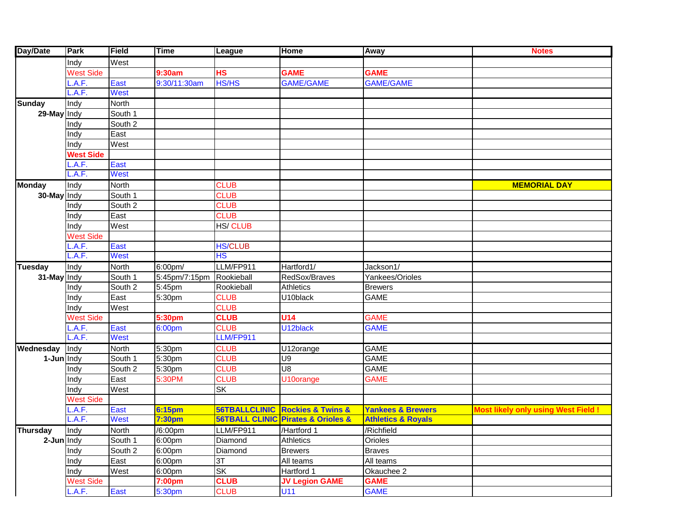| Day/Date        | <b>Park</b>      | Field        | <b>Time</b>   | League         | <b>Home</b>                                    | Away                          | <b>Notes</b>                              |
|-----------------|------------------|--------------|---------------|----------------|------------------------------------------------|-------------------------------|-------------------------------------------|
|                 | Indy             | West         |               |                |                                                |                               |                                           |
|                 | <b>West Side</b> |              | 9:30am        | <b>HS</b>      | <b>GAME</b>                                    | <b>GAME</b>                   |                                           |
|                 | .A.F.            | East         | 9:30/11:30am  | <b>HS/HS</b>   | <b>GAME/GAME</b>                               | <b>GAME/GAME</b>              |                                           |
|                 | .A.F.            | <b>West</b>  |               |                |                                                |                               |                                           |
| <b>Sunday</b>   | Indy             | <b>North</b> |               |                |                                                |                               |                                           |
| 29-May Indy     |                  | South 1      |               |                |                                                |                               |                                           |
|                 | Indy             | South 2      |               |                |                                                |                               |                                           |
|                 | Indy             | East         |               |                |                                                |                               |                                           |
|                 | Indy             | West         |               |                |                                                |                               |                                           |
|                 | <b>West Side</b> |              |               |                |                                                |                               |                                           |
|                 | A.F.             | East         |               |                |                                                |                               |                                           |
|                 | .A.F.            | West         |               |                |                                                |                               |                                           |
| <b>Monday</b>   | Indy             | North        |               | <b>CLUB</b>    |                                                |                               | <b>MEMORIAL DAY</b>                       |
| 30-May Indy     |                  | South 1      |               | <b>CLUB</b>    |                                                |                               |                                           |
|                 | Indy             | South 2      |               | <b>CLUB</b>    |                                                |                               |                                           |
|                 | Indy             | East         |               | <b>CLUB</b>    |                                                |                               |                                           |
|                 | Indy             | West         |               | <b>HS/CLUB</b> |                                                |                               |                                           |
|                 | <b>West Side</b> |              |               |                |                                                |                               |                                           |
|                 | .A.F.            | East         |               | <b>HS/CLUB</b> |                                                |                               |                                           |
|                 | A.F.             | West         |               | <b>HS</b>      |                                                |                               |                                           |
| <b>Tuesday</b>  | Indy             | North        | $6:00$ pm/    | LLM/FP911      | Hartford1/                                     | Jackson1/                     |                                           |
| 31-May Indy     |                  | South 1      | 5:45pm/7:15pm | Rookieball     | RedSox/Braves                                  | Yankees/Orioles               |                                           |
|                 | Indy             | South 2      | 5:45pm        | Rookieball     | <b>Athletics</b>                               | <b>Brewers</b>                |                                           |
|                 | Indy             | East         | 5:30pm        | <b>CLUB</b>    | U10black                                       | <b>GAME</b>                   |                                           |
|                 | Indy             | West         |               | <b>CLUB</b>    |                                                |                               |                                           |
|                 | <b>West Side</b> |              | 5:30pm        | <b>CLUB</b>    | <b>U14</b>                                     | <b>GAME</b>                   |                                           |
|                 | .A.F.            | East         | 6:00pm        | <b>CLUB</b>    | U12black                                       | <b>GAME</b>                   |                                           |
|                 | L.A.F.           | West         |               | LLM/FP911      |                                                |                               |                                           |
| Wednesday       | Indy             | <b>North</b> | 5:30pm        | <b>CLUB</b>    | U12orange                                      | <b>GAME</b>                   |                                           |
| 1-Jun Indy      |                  | South 1      | 5:30pm        | <b>CLUB</b>    | <b>U9</b>                                      | <b>GAME</b>                   |                                           |
|                 | Indy             | South 2      | 5:30pm        | <b>CLUB</b>    | $\overline{\mathsf{U}8}$                       | <b>GAME</b>                   |                                           |
|                 | Indy             | East         | 5:30PM        | <b>CLUB</b>    | U10orange                                      | <b>GAME</b>                   |                                           |
|                 | Indy             | West         |               | SK             |                                                |                               |                                           |
|                 | <b>West Side</b> |              |               |                |                                                |                               |                                           |
|                 | A.F.             | East         | <b>6:15pm</b> |                | <b>56TBALLCLINIC Rockies &amp; Twins &amp;</b> | <b>Yankees &amp; Brewers</b>  | <b>Most likely only using West Field!</b> |
|                 | .A.F.            | West         | 7:30pm        |                | 56TBALL CLINIC Pirates & Orioles &             | <b>Athletics &amp; Royals</b> |                                           |
| <b>Thursday</b> | Indy             | <b>North</b> | /6:00pm       | LLM/FP911      | /Hartford 1                                    | /Richfield                    |                                           |
| 2-Jun Indy      |                  | South 1      | 6:00pm        | Diamond        | <b>Athletics</b>                               | Orioles                       |                                           |
|                 | Indy             | South 2      | 6:00pm        | Diamond        | <b>Brewers</b>                                 | <b>Braves</b>                 |                                           |
|                 | Indy             | East         | 6:00pm        | 3T             | All teams                                      | All teams                     |                                           |
|                 | Indy             | West         | 6:00pm        | SK             | Hartford 1                                     | Okauchee 2                    |                                           |
|                 | <b>West Side</b> |              | 7:00pm        | <b>CLUB</b>    | <b>JV Legion GAME</b>                          | <b>GAME</b>                   |                                           |
|                 | L.A.F.           | East         | 5:30pm        | <b>CLUB</b>    | U11                                            | <b>GAME</b>                   |                                           |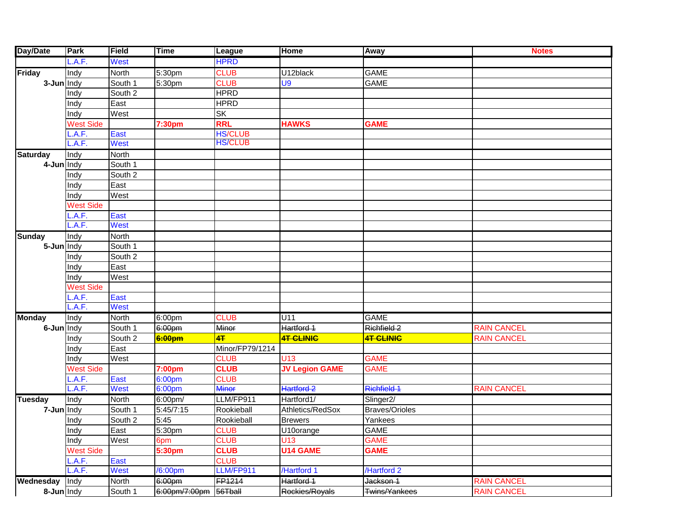| Day/Date        | Park             | Field        | <b>Time</b>        | League          | <b>Home</b>           | Away                  | <b>Notes</b>       |
|-----------------|------------------|--------------|--------------------|-----------------|-----------------------|-----------------------|--------------------|
|                 | .A.F.            | <b>West</b>  |                    | <b>HPRD</b>     |                       |                       |                    |
| Friday          | Indy             | North        | 5:30pm             | <b>CLUB</b>     | U12black              | <b>GAME</b>           |                    |
| 3-Jun Indy      |                  | South 1      | 5:30pm             | <b>CLUB</b>     | U9                    | <b>GAME</b>           |                    |
|                 | Indy             | South 2      |                    | <b>HPRD</b>     |                       |                       |                    |
|                 | Indy             | East         |                    | <b>HPRD</b>     |                       |                       |                    |
|                 | Indy             | West         |                    | <b>SK</b>       |                       |                       |                    |
|                 | <b>West Side</b> |              | 7:30pm             | <b>RRL</b>      | <b>HAWKS</b>          | <b>GAME</b>           |                    |
|                 | .A.F.            | East         |                    | <b>HS/CLUB</b>  |                       |                       |                    |
|                 | A.F.             | West         |                    | <b>HS/CLUB</b>  |                       |                       |                    |
| <b>Saturday</b> | Indy             | North        |                    |                 |                       |                       |                    |
| 4-Jun Indy      |                  | South 1      |                    |                 |                       |                       |                    |
|                 | Indy             | South 2      |                    |                 |                       |                       |                    |
|                 | Indy             | East         |                    |                 |                       |                       |                    |
|                 | Indy             | West         |                    |                 |                       |                       |                    |
|                 | <b>West Side</b> |              |                    |                 |                       |                       |                    |
|                 | .A.F.            | East         |                    |                 |                       |                       |                    |
|                 | A.F.             | <b>West</b>  |                    |                 |                       |                       |                    |
| <b>Sunday</b>   | Indy             | North        |                    |                 |                       |                       |                    |
| 5-Jun Indy      |                  | South 1      |                    |                 |                       |                       |                    |
|                 | Indy             | South 2      |                    |                 |                       |                       |                    |
|                 | Indy             | East         |                    |                 |                       |                       |                    |
|                 | Indy             | West         |                    |                 |                       |                       |                    |
|                 | <b>West Side</b> |              |                    |                 |                       |                       |                    |
|                 | .A.F.            | East         |                    |                 |                       |                       |                    |
|                 | A.F.             | West         |                    |                 |                       |                       |                    |
| <b>Monday</b>   | Indy             | <b>North</b> | 6:00pm             | <b>CLUB</b>     | U11                   | <b>GAME</b>           |                    |
| 6-Jun Indy      |                  | South 1      | 6:00pm             | Minor           | Hartford 1            | Richfield 2           | <b>RAIN CANCEL</b> |
|                 | Indy             | South 2      | 6:00pm             | 4 <sub>T</sub>  | <b>4T CLINIC</b>      | 4T CLINIC             | <b>RAIN CANCEL</b> |
|                 | Indy             | East         |                    | Minor/FP79/1214 |                       |                       |                    |
|                 | Indy             | West         |                    | <b>CLUB</b>     | U <sub>13</sub>       | <b>GAME</b>           |                    |
|                 | <b>West Side</b> |              | 7:00 <sub>pm</sub> | <b>CLUB</b>     | <b>JV Legion GAME</b> | <b>GAME</b>           |                    |
|                 | .A.F.            | <b>East</b>  | 6:00pm             | <b>CLUB</b>     |                       |                       |                    |
|                 | .A.F.            | <b>West</b>  | 6:00pm             | <b>Minor</b>    | Hartford 2            | Richfield 1           | <b>RAIN CANCEL</b> |
| <b>Tuesday</b>  | Indy             | <b>North</b> | 6:00pm/            | LLM/FP911       | Hartford1/            | Slinger <sub>2/</sub> |                    |
| 7-Jun Indy      |                  | South 1      | 5:45/7:15          | Rookieball      | Athletics/RedSox      | <b>Braves/Orioles</b> |                    |
|                 | Indy             | South 2      | 5:45               | Rookieball      | <b>Brewers</b>        | Yankees               |                    |
|                 | Indy             | East         | 5:30pm             | <b>CLUB</b>     | U10orange             | <b>GAME</b>           |                    |
|                 | Indy             | West         | 6pm                | <b>CLUB</b>     | U13                   | <b>GAME</b>           |                    |
|                 | <b>West Side</b> |              | 5:30pm             | <b>CLUB</b>     | <b>U14 GAME</b>       | <b>GAME</b>           |                    |
|                 | L.A.F.           | East         |                    | <b>CLUB</b>     |                       |                       |                    |
|                 | L.A.F.           | <b>West</b>  | /6:00pm            | LLM/FP911       | /Hartford 1           | /Hartford 2           |                    |
| Wednesday       | Indy             | North        | 6:00pm             | FP1214          | Hartford 1            | Jackson 1             | <b>RAIN CANCEL</b> |
| 8-Jun Indy      |                  | South 1      | 6:00pm/7:00pm      | 56Tball         | Rockies/Royals        | Twins/Yankees         | <b>RAIN CANCEL</b> |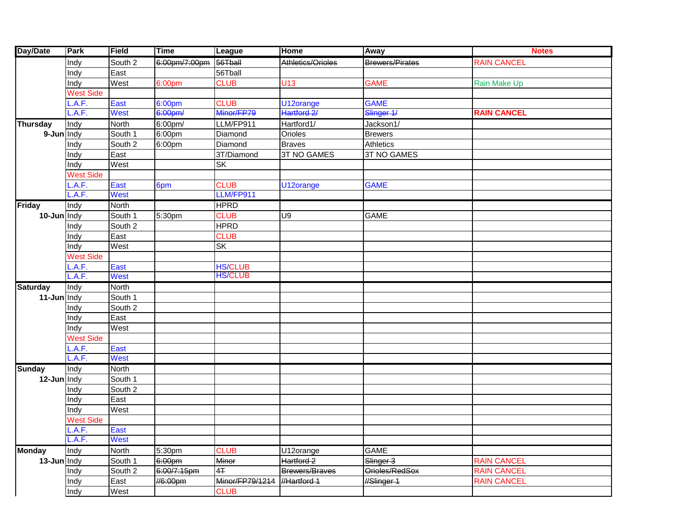| <b>Day/Date</b> | Park             | Field        | <b>Time</b>   | League          | <b>Home</b>        | Away                   | <b>Notes</b>       |
|-----------------|------------------|--------------|---------------|-----------------|--------------------|------------------------|--------------------|
|                 | Indy             | South 2      | 6:00pm/7:00pm | 56Tball         | Athletics/Orioles  | <b>Brewers/Pirates</b> | <b>RAIN CANCEL</b> |
|                 | Indy             | East         |               | 56Tball         |                    |                        |                    |
|                 | Indy             | West         | 6:00pm        | <b>CLUB</b>     | U13                | <b>GAME</b>            | Rain Make Up       |
|                 | <b>West Side</b> |              |               |                 |                    |                        |                    |
|                 | .A.F.            | East         | 6:00pm        | <b>CLUB</b>     | U12orange          | <b>GAME</b>            |                    |
|                 | A.F.             | West         | 6:00pm/       | Minor/FP79      | Hartford 2/        | Slinger 1/             | <b>RAIN CANCEL</b> |
| <b>Thursday</b> | Indy             | North        | 6:00pm/       | LLM/FP911       | Hartford1/         | Jackson1/              |                    |
| 9-Jun Indy      |                  | South 1      | 6:00pm        | Diamond         | Orioles            | <b>Brewers</b>         |                    |
|                 | Indy             | South 2      | 6:00pm        | Diamond         | <b>Braves</b>      | <b>Athletics</b>       |                    |
|                 | Indy             | East         |               | 3T/Diamond      | <b>3T NO GAMES</b> | 3T NO GAMES            |                    |
|                 | Indy             | West         |               | SK              |                    |                        |                    |
|                 | <b>West Side</b> |              |               |                 |                    |                        |                    |
|                 | A.F.             | East         | 6pm           | <b>CLUB</b>     | U12orange          | <b>GAME</b>            |                    |
|                 | A.F.             | <b>West</b>  |               | LLM/FP911       |                    |                        |                    |
| <b>Friday</b>   | Indy             | North        |               | <b>HPRD</b>     |                    |                        |                    |
| 10-Jun Indy     |                  | South 1      | 5:30pm        | <b>CLUB</b>     | U9                 | <b>GAME</b>            |                    |
|                 | Indy             | South 2      |               | <b>HPRD</b>     |                    |                        |                    |
|                 | Indy             | East         |               | <b>CLUB</b>     |                    |                        |                    |
|                 | Indy             | West         |               | SK              |                    |                        |                    |
|                 | <b>West Side</b> |              |               |                 |                    |                        |                    |
|                 | A.F.             | East         |               | <b>HS/CLUB</b>  |                    |                        |                    |
|                 | .A.F.            | West         |               | <b>HS/CLUB</b>  |                    |                        |                    |
| <b>Saturday</b> | Indy             | North        |               |                 |                    |                        |                    |
| 11-Jun Indy     |                  | South 1      |               |                 |                    |                        |                    |
|                 | Indy             | South 2      |               |                 |                    |                        |                    |
|                 | Indy             | East         |               |                 |                    |                        |                    |
|                 | Indy             | West         |               |                 |                    |                        |                    |
|                 | <b>West Side</b> |              |               |                 |                    |                        |                    |
|                 | A.F.             | East         |               |                 |                    |                        |                    |
|                 | A.F.             | <b>West</b>  |               |                 |                    |                        |                    |
| <b>Sunday</b>   | Indy             | <b>North</b> |               |                 |                    |                        |                    |
| 12-Jun Indy     |                  | South 1      |               |                 |                    |                        |                    |
|                 | Indy             | South 2      |               |                 |                    |                        |                    |
|                 | Indy             | East         |               |                 |                    |                        |                    |
|                 | Indy             | West         |               |                 |                    |                        |                    |
|                 | <b>West Side</b> |              |               |                 |                    |                        |                    |
|                 | L.A.F.           | <b>East</b>  |               |                 |                    |                        |                    |
|                 | .A.F.            | West         |               |                 |                    |                        |                    |
| <b>Monday</b>   | Indy             | North        | 5:30pm        | <b>CLUB</b>     | U12orange          | <b>GAME</b>            |                    |
| $13$ -Jun Indy  |                  | South 1      | 6:00pm        | Minor           | Hartford 2         | Slinger 3              | <b>RAIN CANCEL</b> |
|                 | Indy             | South 2      | 6:00/7:15pm   | 4Ŧ              | Brewers/Braves     | Orioles/RedSox         | <b>RAIN CANCEL</b> |
|                 | Indy             | East         | //6:00pm      | Minor/FP79/1214 | //Hartford 1       | //Slinger 1            | <b>RAIN CANCEL</b> |
|                 | Indy             | West         |               | <b>CLUB</b>     |                    |                        |                    |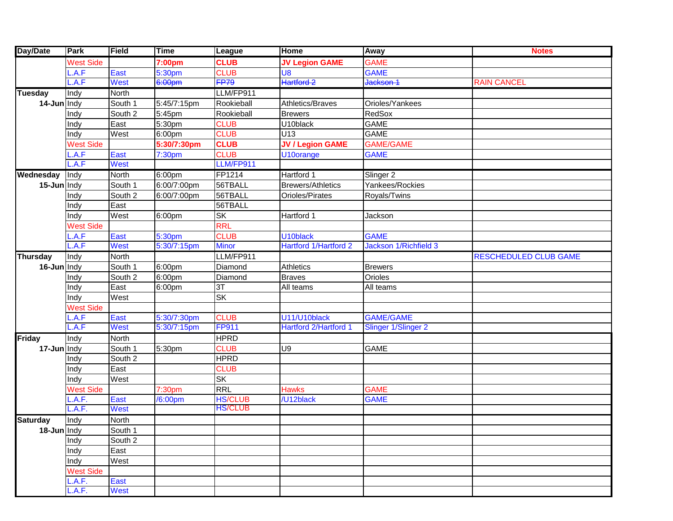| Day/Date        | Park              | Field        | <b>Time</b>          | League         | Home                     | <b>Away</b>                | <b>Notes</b>                 |
|-----------------|-------------------|--------------|----------------------|----------------|--------------------------|----------------------------|------------------------------|
|                 | <b>West Side</b>  |              | 7:00pm               | <b>CLUB</b>    | <b>JV Legion GAME</b>    | <b>GAME</b>                |                              |
|                 | .A.F              | East         | 5:30pm               | <b>CLUB</b>    | U <sub>8</sub>           | <b>GAME</b>                |                              |
|                 | .A.F              | West         | 6:00pm               | <b>FP79</b>    | Hartford 2               | Jackson 1                  | <b>RAIN CANCEL</b>           |
| <b>Tuesday</b>  | Indy              | North        |                      | LLM/FP911      |                          |                            |                              |
| 14-Jun Indy     |                   | South 1      | 5:45/7:15pm          | Rookieball     | Athletics/Braves         | Orioles/Yankees            |                              |
|                 | Indy              | South 2      | 5:45pm               | Rookieball     | <b>Brewers</b>           | RedSox                     |                              |
|                 | Indy              | East         | 5:30pm               | <b>CLUB</b>    | U10black                 | <b>GAME</b>                |                              |
|                 | Indy              | West         | 6:00pm               | <b>CLUB</b>    | U13                      | <b>GAME</b>                |                              |
|                 | <b>West Side</b>  |              | 5:30/7:30pm          | <b>CLUB</b>    | <b>JV / Legion GAME</b>  | <b>GAME/GAME</b>           |                              |
|                 | .A.F              | East         | 7:30 <sub>pm</sub>   | <b>CLUB</b>    | U10orange                | <b>GAME</b>                |                              |
|                 | .A.F              | <b>West</b>  |                      | LLM/FP911      |                          |                            |                              |
| Wednesday       | Indy              | <b>North</b> | 6:00pm               | FP1214         | Hartford 1               | Slinger 2                  |                              |
| 15-Jun Indy     |                   | South 1      | 6:00/7:00pm          | 56TBALL        | <b>Brewers/Athletics</b> | Yankees/Rockies            |                              |
|                 | Indy              | South 2      | 6:00/7:00pm          | 56TBALL        | Orioles/Pirates          | Royals/Twins               |                              |
|                 | Indy              | East         |                      | 56TBALL        |                          |                            |                              |
|                 | Indy              | West         | 6:00pm               | <b>SK</b>      | Hartford 1               | Jackson                    |                              |
|                 | <b>West Side</b>  |              |                      | <b>RRL</b>     |                          |                            |                              |
|                 | .A.F              | East         | 5:30pm               | <b>CLUB</b>    | U10black                 | <b>GAME</b>                |                              |
|                 | L.A.F             | <b>West</b>  | 5:30/7:15pm          | <b>Minor</b>   | Hartford 1/Hartford 2    | Jackson 1/Richfield 3      |                              |
| <b>Thursday</b> | Indy              | <b>North</b> |                      | LLM/FP911      |                          |                            | <b>RESCHEDULED CLUB GAME</b> |
| 16-Jun Indy     |                   | South 1      | 6:00 <sub>pm</sub>   | Diamond        | <b>Athletics</b>         | <b>Brewers</b>             |                              |
|                 | Indy              | South 2      | 6:00pm               | Diamond        | <b>Braves</b>            | Orioles                    |                              |
|                 | Indy              | East         | 6:00pm               | 3T             | All teams                | All teams                  |                              |
|                 | Indy              | West         |                      | <b>SK</b>      |                          |                            |                              |
|                 | <b>West Side</b>  |              |                      |                |                          |                            |                              |
|                 | .A.F              | <b>East</b>  | 5:30/7:30pm          | <b>CLUB</b>    | U11/U10black             | <b>GAME/GAME</b>           |                              |
|                 | .A.F              | <b>West</b>  | 5:30/7:15pm          | <b>FP911</b>   | Hartford 2/Hartford 1    | <b>Slinger 1/Slinger 2</b> |                              |
| <b>Friday</b>   | Indy              | <b>North</b> |                      | <b>HPRD</b>    |                          |                            |                              |
| 17-Jun Indy     |                   | South 1      | 5:30pm               | <b>CLUB</b>    | <b>U9</b>                | <b>GAME</b>                |                              |
|                 | Indy              | South 2      |                      | <b>HPRD</b>    |                          |                            |                              |
|                 | Indy              | East         |                      | <b>CLUB</b>    |                          |                            |                              |
|                 | Indy              | West         |                      | <b>SK</b>      |                          |                            |                              |
|                 | <b>West Side</b>  |              | 7:30 <sub>pm</sub>   | <b>RRL</b>     | <b>Hawks</b>             | <b>GAME</b>                |                              |
|                 | $\mathsf{L.A.F.}$ | East         | $\overline{6}$ :00pm | <b>HS/CLUB</b> | /U12black                | <b>GAME</b>                |                              |
|                 | $\mathsf{L.A.F.}$ | <b>West</b>  |                      | <b>HS/CLUB</b> |                          |                            |                              |
| <b>Saturday</b> | Indy              | <b>North</b> |                      |                |                          |                            |                              |
| 18-Jun Indy     |                   | South 1      |                      |                |                          |                            |                              |
|                 | Indy              | South 2      |                      |                |                          |                            |                              |
|                 | Indy              | East         |                      |                |                          |                            |                              |
|                 | Indy              | West         |                      |                |                          |                            |                              |
|                 | <b>West Side</b>  |              |                      |                |                          |                            |                              |
|                 | L.A.F.            | East         |                      |                |                          |                            |                              |
|                 | L.A.F.            | <b>West</b>  |                      |                |                          |                            |                              |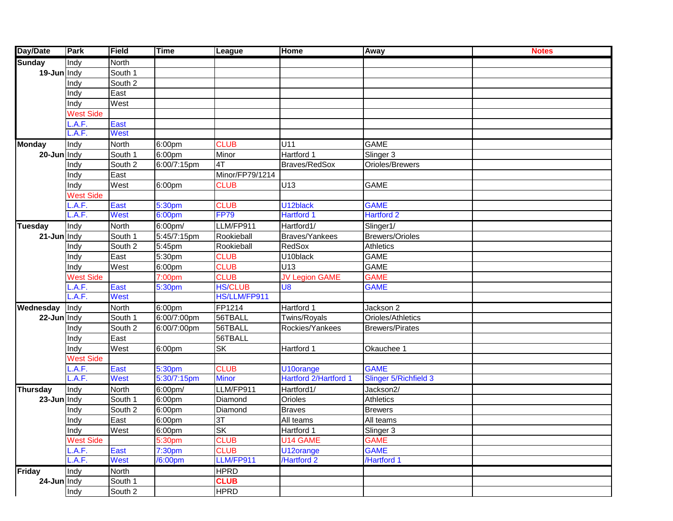| <b>Day/Date</b>              | Park             | Field        | <b>Time</b> | League          | <b>Home</b>                  | Away                         | <b>Notes</b> |
|------------------------------|------------------|--------------|-------------|-----------------|------------------------------|------------------------------|--------------|
|                              | Indy             | North        |             |                 |                              |                              |              |
| <b>Sunday</b><br>19-Jun Indy |                  | South 1      |             |                 |                              |                              |              |
|                              | Indy             | South 2      |             |                 |                              |                              |              |
|                              | Indy             | East         |             |                 |                              |                              |              |
|                              | Indy             | West         |             |                 |                              |                              |              |
|                              | <b>West Side</b> |              |             |                 |                              |                              |              |
|                              | .A.F.            | East         |             |                 |                              |                              |              |
|                              | A.F.             | <b>West</b>  |             |                 |                              |                              |              |
| <b>Monday</b>                | Indy             | <b>North</b> | 6:00pm      | <b>CLUB</b>     | U11                          | <b>GAME</b>                  |              |
| 20-Jun Indy                  |                  | South 1      | 6:00pm      | Minor           | Hartford 1                   | Slinger 3                    |              |
|                              | Indy             | South 2      | 6:00/7:15pm | 4T              | Braves/RedSox                | Orioles/Brewers              |              |
|                              | Indy             | East         |             | Minor/FP79/1214 |                              |                              |              |
|                              | Indy             | West         | 6:00pm      | <b>CLUB</b>     | U13                          | <b>GAME</b>                  |              |
|                              | <b>West Side</b> |              |             |                 |                              |                              |              |
|                              | A.F.             | East         | 5:30pm      | <b>CLUB</b>     | U12black                     | <b>GAME</b>                  |              |
|                              | A.F.             | <b>West</b>  | 6:00pm      | <b>FP79</b>     | <b>Hartford 1</b>            | <b>Hartford 2</b>            |              |
| <b>Tuesday</b>               | Indy             | North        | 6:00pm/     | LLM/FP911       | Hartford1/                   | Slinger1/                    |              |
| 21-Jun Indy                  |                  | South 1      | 5:45/7:15pm | Rookieball      | Braves/Yankees               | <b>Brewers/Orioles</b>       |              |
|                              | Indy             | South 2      | 5:45pm      | Rookieball      | RedSox                       | Athletics                    |              |
|                              | Indy             | East         | 5:30pm      | <b>CLUB</b>     | U10black                     | <b>GAME</b>                  |              |
|                              | Indy             | West         | 6:00pm      | <b>CLUB</b>     | U13                          | GAME                         |              |
|                              | <b>West Side</b> |              | 7:00pm      | <b>CLUB</b>     | <b>JV Legion GAME</b>        | <b>GAME</b>                  |              |
|                              | A.F.             | East         | 5:30pm      | <b>HS/CLUB</b>  | U <sub>8</sub>               | <b>GAME</b>                  |              |
|                              | A.F.             | <b>West</b>  |             | HS/LLM/FP911    |                              |                              |              |
| Wednesday                    | Indy             | <b>North</b> | 6:00pm      | FP1214          | Hartford 1                   | Jackson 2                    |              |
| 22-Jun Indy                  |                  | South 1      | 6:00/7:00pm | 56TBALL         | Twins/Royals                 | Orioles/Athletics            |              |
|                              | Indy             | South 2      | 6:00/7:00pm | 56TBALL         | Rockies/Yankees              | <b>Brewers/Pirates</b>       |              |
|                              | Indy             | East         |             | 56TBALL         |                              |                              |              |
|                              | Indy             | West         | 6:00pm      | <b>SK</b>       | Hartford 1                   | Okauchee 1                   |              |
|                              | <b>West Side</b> |              |             |                 |                              |                              |              |
|                              | .A.F.            | East         | 5:30pm      | <b>CLUB</b>     | U <sub>10</sub> orange       | <b>GAME</b>                  |              |
|                              | .A.F.            | <b>West</b>  | 5:30/7:15pm | <b>Minor</b>    | <b>Hartford 2/Hartford 1</b> | <b>Slinger 5/Richfield 3</b> |              |
| <b>Thursday</b>              | Indy             | North        | 6:00pm/     | LLM/FP911       | Hartford1/                   | Jackson2/                    |              |
| 23-Jun Indy                  |                  | South 1      | 6:00pm      | Diamond         | Orioles                      | <b>Athletics</b>             |              |
|                              | Indy             | South 2      | 6:00pm      | Diamond         | <b>Braves</b>                | <b>Brewers</b>               |              |
|                              | Indy             | East         | 6:00pm      | 3T              | All teams                    | All teams                    |              |
|                              | Indy             | West         | 6:00pm      | ISK.            | Hartford 1                   | Slinger 3                    |              |
|                              | <b>West Side</b> |              | 5:30pm      | <b>CLUB</b>     | U14 GAME                     | <b>GAME</b>                  |              |
|                              | .A.F.            | East         | 7:30pm      | <b>CLUB</b>     | U12orange                    | <b>GAME</b>                  |              |
|                              | .A.F.            | West         | /6:00pm     | LLM/FP911       | /Hartford 2                  | /Hartford 1                  |              |
| <b>Friday</b>                | Indy             | North        |             | <b>HPRD</b>     |                              |                              |              |
| 24-Jun Indy                  |                  | South 1      |             | <b>CLUB</b>     |                              |                              |              |
|                              | Indy             | South 2      |             | <b>HPRD</b>     |                              |                              |              |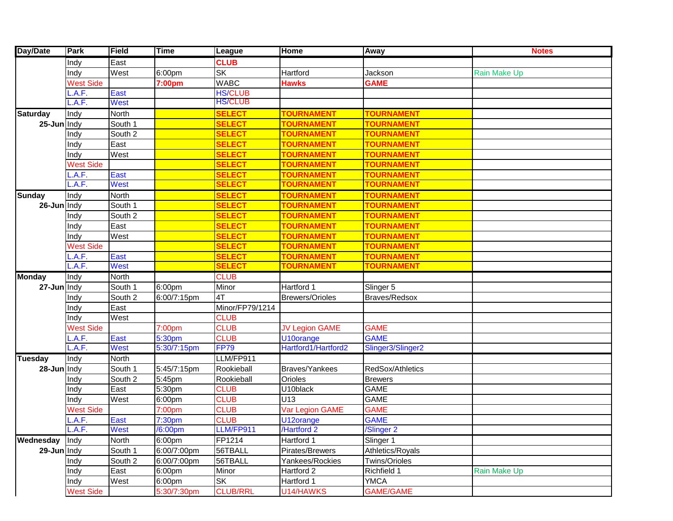| Day/Date        | Park             | Field        | <b>Time</b>         | League          | Home                  | Away              | <b>Notes</b>        |
|-----------------|------------------|--------------|---------------------|-----------------|-----------------------|-------------------|---------------------|
|                 | Indy             | East         |                     | <b>CLUB</b>     |                       |                   |                     |
|                 | Indy             | West         | 6:00pm              | <b>SK</b>       | Hartford              | Jackson           | Rain Make Up        |
|                 | <b>West Side</b> |              | 7:00pm              | <b>WABC</b>     | <b>Hawks</b>          | <b>GAME</b>       |                     |
|                 | A.F.             | East         |                     | <b>HS/CLUB</b>  |                       |                   |                     |
|                 | .A.F.            | <b>West</b>  |                     | <b>HS/CLUB</b>  |                       |                   |                     |
| <b>Saturday</b> | Indy             | <b>North</b> |                     | <b>SELECT</b>   | <b>TOURNAMENT</b>     | <b>TOURNAMENT</b> |                     |
| 25-Jun Indy     |                  | South 1      |                     | <b>SELECT</b>   | <b>TOURNAMENT</b>     | <b>TOURNAMENT</b> |                     |
|                 | Indy             | South 2      |                     | <b>SELECT</b>   | <b>TOURNAMENT</b>     | <b>TOURNAMENT</b> |                     |
|                 | Indy             | East         |                     | <b>SELECT</b>   | <b>TOURNAMENT</b>     | <b>TOURNAMENT</b> |                     |
|                 | Indy             | West         |                     | <b>SELECT</b>   | <b>TOURNAMENT</b>     | <b>TOURNAMENT</b> |                     |
|                 | <b>West Side</b> |              |                     | <b>SELECT</b>   | <b>TOURNAMENT</b>     | <b>TOURNAMENT</b> |                     |
|                 | .A.F.            | East         |                     | <b>SELECT</b>   | <b>TOURNAMENT</b>     | <b>TOURNAMENT</b> |                     |
|                 | .A.F.            | <b>West</b>  |                     | <b>SELECT</b>   | <b>TOURNAMENT</b>     | <b>TOURNAMENT</b> |                     |
| <b>Sunday</b>   | Indy             | <b>North</b> |                     | <b>SELECT</b>   | <b>TOURNAMENT</b>     | <b>TOURNAMENT</b> |                     |
| 26-Jun Indy     |                  | South 1      |                     | <b>SELECT</b>   | <b>TOURNAMENT</b>     | <b>TOURNAMENT</b> |                     |
|                 | Indy             | South 2      |                     | <b>SELECT</b>   | <b>TOURNAMENT</b>     | <b>TOURNAMENT</b> |                     |
|                 | Indy             | East         |                     | <b>SELECT</b>   | <b>TOURNAMENT</b>     | <b>TOURNAMENT</b> |                     |
|                 | Indy             | West         |                     | <b>SELECT</b>   | <b>TOURNAMENT</b>     | <b>TOURNAMENT</b> |                     |
|                 | <b>West Side</b> |              |                     | <b>SELECT</b>   | <b>TOURNAMENT</b>     | <b>TOURNAMENT</b> |                     |
|                 | A.F.             | East         |                     | <b>SELECT</b>   | <b>TOURNAMENT</b>     | <b>TOURNAMENT</b> |                     |
|                 | .A.F.            | <b>West</b>  |                     | <b>SELECT</b>   | <b>TOURNAMENT</b>     | <b>TOURNAMENT</b> |                     |
| <b>Monday</b>   | Indy             | <b>North</b> |                     | <b>CLUB</b>     |                       |                   |                     |
| 27-Jun Indy     |                  | South 1      | 6:00pm              | Minor           | Hartford 1            | Slinger 5         |                     |
|                 | Indy             | South 2      | 6:00/7:15pm         | 4T              | Brewers/Orioles       | Braves/Redsox     |                     |
|                 | Indy             | East         |                     | Minor/FP79/1214 |                       |                   |                     |
|                 | Indy             | West         |                     | <b>CLUB</b>     |                       |                   |                     |
|                 | <b>West Side</b> |              | 7:00pm              | <b>CLUB</b>     | <b>JV Legion GAME</b> | <b>GAME</b>       |                     |
|                 | A.F.             | East         | 5:30pm              | <b>CLUB</b>     | U10orange             | <b>GAME</b>       |                     |
|                 | A.F.             | <b>West</b>  | 5:30/7:15pm         | <b>FP79</b>     | Hartford1/Hartford2   | Slinger3/Slinger2 |                     |
| <b>Tuesday</b>  | Indy             | <b>North</b> |                     | LLM/FP911       |                       |                   |                     |
| 28-Jun Indy     |                  | South 1      | 5:45/7:15pm         | Rookieball      | Braves/Yankees        | RedSox/Athletics  |                     |
|                 | Indy             | South 2      | 5:45pm              | Rookieball      | Orioles               | <b>Brewers</b>    |                     |
|                 | Indy             | East         | 5:30pm              | <b>CLUB</b>     | U10black              | <b>GAME</b>       |                     |
|                 | Indy             | West         | 6:00pm              | <b>CLUB</b>     | U <sub>13</sub>       | <b>GAME</b>       |                     |
|                 | <b>West Side</b> |              | 7:00pm              | <b>CLUB</b>     | Var Legion GAME       | <b>GAME</b>       |                     |
|                 | .A.F.            | East         | 7:30pm              | <b>CLUB</b>     | U12orange             | <b>GAME</b>       |                     |
|                 | L.A.F.           | <b>West</b>  | /6:00 <sub>pm</sub> | LLM/FP911       | /Hartford 2           | /Slinger 2        |                     |
| Wednesday       | Indy             | <b>North</b> | 6:00pm              | FP1214          | Hartford 1            | Slinger 1         |                     |
| 29-Jun Indy     |                  | South 1      | 6:00/7:00pm         | 56TBALL         | Pirates/Brewers       | Athletics/Royals  |                     |
|                 | Indy             | South 2      | 6:00/7:00pm         | 56TBALL         | Yankees/Rockies       | Twins/Orioles     |                     |
|                 | Indy             | East         | 6:00pm              | Minor           | Hartford 2            | Richfield 1       | <b>Rain Make Up</b> |
|                 | Indy             | West         | 6:00pm              | SK              | Hartford 1            | <b>YMCA</b>       |                     |
|                 | <b>West Side</b> |              | 5:30/7:30pm         | <b>CLUB/RRL</b> | U14/HAWKS             | <b>GAME/GAME</b>  |                     |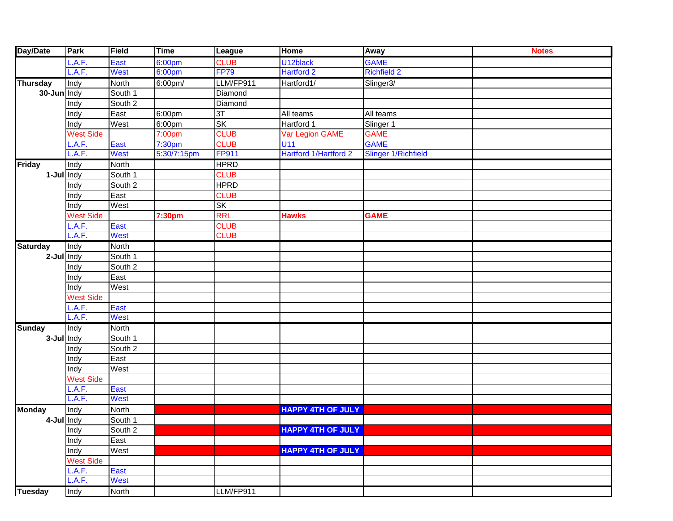| Day/Date        | Park             | Field        | <b>Time</b> | League       | <b>Home</b>              | Away                       | <b>Notes</b> |
|-----------------|------------------|--------------|-------------|--------------|--------------------------|----------------------------|--------------|
|                 | .A.F.            | East         | 6:00pm      | <b>CLUB</b>  | U12black                 | <b>GAME</b>                |              |
|                 | _.A.F.           | <b>West</b>  | 6:00pm      | <b>FP79</b>  | <b>Hartford 2</b>        | <b>Richfield 2</b>         |              |
| <b>Thursday</b> | Indy             | <b>North</b> | 6:00pm/     | LLM/FP911    | Hartford1/               | Slinger3/                  |              |
| 30-Jun Indy     |                  | South 1      |             | Diamond      |                          |                            |              |
|                 | Indy             | South 2      |             | Diamond      |                          |                            |              |
|                 | Indy             | East         | 6:00pm      | 3T           | All teams                | All teams                  |              |
|                 | Indy             | West         | 6:00pm      | <b>SK</b>    | Hartford 1               | Slinger 1                  |              |
|                 | <b>West Side</b> |              | 7:00pm      | <b>CLUB</b>  | Var Legion GAME          | <b>GAME</b>                |              |
|                 | .A.F.            | East         | 7:30pm      | <b>CLUB</b>  | U11                      | <b>GAME</b>                |              |
|                 | A.F.             | <b>West</b>  | 5:30/7:15pm | <b>FP911</b> | Hartford 1/Hartford 2    | <b>Slinger 1/Richfield</b> |              |
| <b>Friday</b>   | Indy             | North        |             | <b>HPRD</b>  |                          |                            |              |
| 1-Jul Indy      |                  | South 1      |             | <b>CLUB</b>  |                          |                            |              |
|                 | Indy             | South 2      |             | <b>HPRD</b>  |                          |                            |              |
|                 | Indy             | East         |             | <b>CLUB</b>  |                          |                            |              |
|                 | Indy             | West         |             | <b>SK</b>    |                          |                            |              |
|                 | <b>West Side</b> |              | 7:30pm      | <b>RRL</b>   | <b>Hawks</b>             | <b>GAME</b>                |              |
|                 | .A.F.            | East         |             | <b>CLUB</b>  |                          |                            |              |
|                 | L.A.F.           | <b>West</b>  |             | <b>CLUB</b>  |                          |                            |              |
| <b>Saturday</b> | Indy             | North        |             |              |                          |                            |              |
| $2$ -Jul   Indy |                  | South 1      |             |              |                          |                            |              |
|                 | Indy             | South 2      |             |              |                          |                            |              |
|                 | Indy             | East         |             |              |                          |                            |              |
|                 | Indy             | West         |             |              |                          |                            |              |
|                 | <b>West Side</b> |              |             |              |                          |                            |              |
|                 | .A.F.            | East         |             |              |                          |                            |              |
|                 | _.A.F.           | <b>West</b>  |             |              |                          |                            |              |
| <b>Sunday</b>   | Indy             | North        |             |              |                          |                            |              |
| 3-Jul Indy      |                  | South 1      |             |              |                          |                            |              |
|                 | Indy             | South 2      |             |              |                          |                            |              |
|                 | Indy             | East         |             |              |                          |                            |              |
|                 | Indy             | West         |             |              |                          |                            |              |
|                 | <b>West Side</b> |              |             |              |                          |                            |              |
|                 | .A.F.            | East         |             |              |                          |                            |              |
|                 | A.F.             | <b>West</b>  |             |              |                          |                            |              |
| <b>Monday</b>   | Indy             | North        |             |              | <b>HAPPY 4TH OF JULY</b> |                            |              |
| 4-Jul Indy      |                  | South 1      |             |              |                          |                            |              |
|                 | Indy             | South 2      |             |              | <b>HAPPY 4TH OF JULY</b> |                            |              |
|                 | Indy             | East         |             |              |                          |                            |              |
|                 | Indy             | West         |             |              | <b>HAPPY 4TH OF JULY</b> |                            |              |
|                 | <b>West Side</b> |              |             |              |                          |                            |              |
|                 | L.A.F.           | East         |             |              |                          |                            |              |
|                 | L.A.F.           | <b>West</b>  |             |              |                          |                            |              |
| <b>Tuesday</b>  | Indy             | North        |             | LLM/FP911    |                          |                            |              |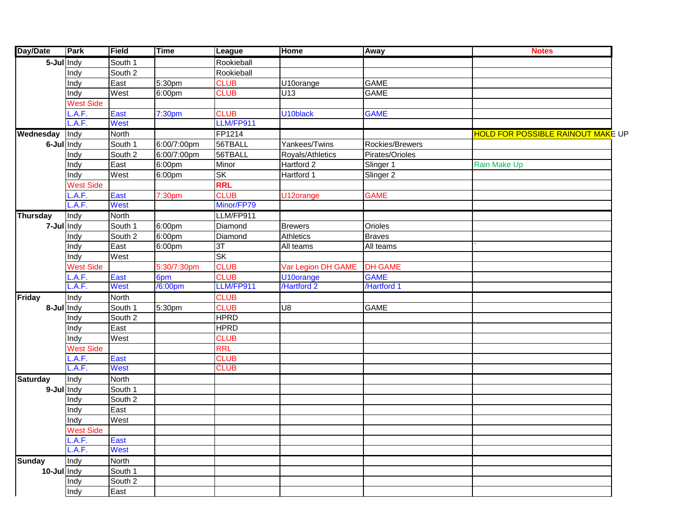| <b>Day/Date</b>                            | Park             | Field                | <b>Time</b> | <b>League</b> | <b>Home</b>        | Away            | <b>Notes</b>                             |
|--------------------------------------------|------------------|----------------------|-------------|---------------|--------------------|-----------------|------------------------------------------|
| $\overline{\mathbf{5}-\mathbf{J}}$ ul Indy |                  | South 1              |             | Rookieball    |                    |                 |                                          |
|                                            | Indy             | South 2              |             | Rookieball    |                    |                 |                                          |
|                                            | Indy             | East                 | 5:30pm      | <b>CLUB</b>   | U10orange          | <b>GAME</b>     |                                          |
|                                            | Indy             | West                 | 6:00pm      | <b>CLUB</b>   | U13                | <b>GAME</b>     |                                          |
|                                            | <b>West Side</b> |                      |             |               |                    |                 |                                          |
|                                            | .A.F.            | East                 | 7:30pm      | <b>CLUB</b>   | U10black           | <b>GAME</b>     |                                          |
|                                            | .A.F.            | West                 |             | LLM/FP911     |                    |                 |                                          |
| Wednesday                                  | Indy             | North                |             | FP1214        |                    |                 | <b>HOLD FOR POSSIBLE RAINOUT MAKE UP</b> |
| 6-Jul Indy                                 |                  | South 1              | 6:00/7:00pm | 56TBALL       | Yankees/Twins      | Rockies/Brewers |                                          |
|                                            | Indy             | South $\overline{2}$ | 6:00/7:00pm | 56TBALL       | Royals/Athletics   | Pirates/Orioles |                                          |
|                                            | Indy             | East                 | 6:00pm      | Minor         | Hartford 2         | Slinger 1       | Rain Make Up                             |
|                                            | Indy             | West                 | 6:00pm      | SK            | Hartford 1         | Slinger 2       |                                          |
|                                            | <b>West Side</b> |                      |             | <b>RRL</b>    |                    |                 |                                          |
|                                            | .A.F.            | East                 | 7:30pm      | <b>CLUB</b>   | U12orange          | <b>GAME</b>     |                                          |
|                                            | .A.F.            | West                 |             | Minor/FP79    |                    |                 |                                          |
| <b>Thursday</b>                            | Indy             | North                |             | LLM/FP911     |                    |                 |                                          |
| 7-Jul Indy                                 |                  | South 1              | 6:00pm      | Diamond       | <b>Brewers</b>     | Orioles         |                                          |
|                                            | Indy             | South 2              | 6:00pm      | Diamond       | Athletics          | <b>Braves</b>   |                                          |
|                                            | Indy             | East                 | 6:00pm      | 3T            | All teams          | All teams       |                                          |
|                                            | Indy             | West                 |             | <b>SK</b>     |                    |                 |                                          |
|                                            | <b>West Side</b> |                      | 5:30/7:30pm | <b>CLUB</b>   | Var Legion DH GAME | <b>DH GAME</b>  |                                          |
|                                            | .A.F.            | East                 | 6pm         | <b>CLUB</b>   | U10orange          | <b>GAME</b>     |                                          |
|                                            | .A.F.            | West                 | /6:00pm     | LLM/FP911     | /Hartford 2        | /Hartford 1     |                                          |
| Friday                                     | Indy             | <b>North</b>         |             | <b>CLUB</b>   |                    |                 |                                          |
| 8-Jul Indy                                 |                  | South 1              | 5:30pm      | <b>CLUB</b>   | U8                 | <b>GAME</b>     |                                          |
|                                            | Indy             | South 2              |             | <b>HPRD</b>   |                    |                 |                                          |
|                                            | Indy             | East                 |             | <b>HPRD</b>   |                    |                 |                                          |
|                                            | Indy             | West                 |             | <b>CLUB</b>   |                    |                 |                                          |
|                                            | <b>West Side</b> |                      |             | <b>RRL</b>    |                    |                 |                                          |
|                                            | .A.F.            | East                 |             | <b>CLUB</b>   |                    |                 |                                          |
|                                            | A.F.             | West                 |             | <b>CLUB</b>   |                    |                 |                                          |
| <b>Saturday</b>                            | Indy             | North                |             |               |                    |                 |                                          |
| 9-Jul Indy                                 |                  | South 1              |             |               |                    |                 |                                          |
|                                            | Indy             | South 2              |             |               |                    |                 |                                          |
|                                            | Indy             | East                 |             |               |                    |                 |                                          |
|                                            | Indy             | West                 |             |               |                    |                 |                                          |
|                                            | <b>West Side</b> |                      |             |               |                    |                 |                                          |
|                                            | L.A.F.           | East                 |             |               |                    |                 |                                          |
|                                            | A.F.             | West                 |             |               |                    |                 |                                          |
| <b>Sunday</b>                              | Indy             | North                |             |               |                    |                 |                                          |
| 10-Jul Indy                                |                  | South 1              |             |               |                    |                 |                                          |
|                                            | Indy             | South 2              |             |               |                    |                 |                                          |
|                                            | Indy             | East                 |             |               |                    |                 |                                          |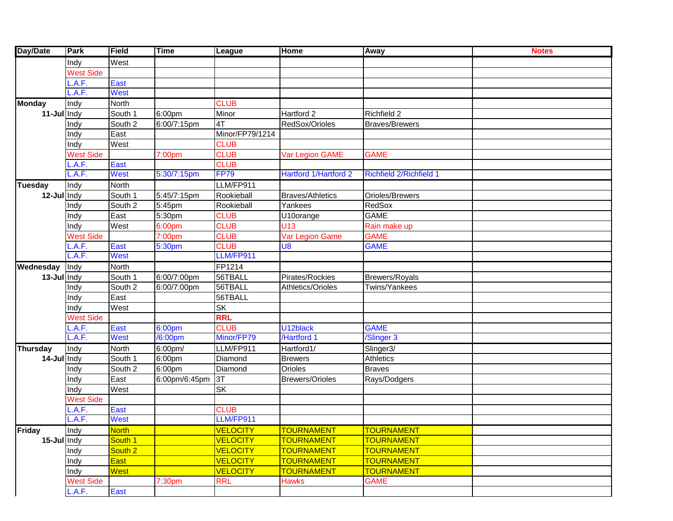| Day/Date        | Park             | <b>Field</b>       | <b>Time</b>    | League          | Home                         | Away                           | <b>Notes</b> |
|-----------------|------------------|--------------------|----------------|-----------------|------------------------------|--------------------------------|--------------|
|                 | Indy             | West               |                |                 |                              |                                |              |
|                 | <b>West Side</b> |                    |                |                 |                              |                                |              |
|                 | .A.F.            | East               |                |                 |                              |                                |              |
|                 | .A.F.            | West               |                |                 |                              |                                |              |
| <b>Monday</b>   | Indy             | North              |                | <b>CLUB</b>     |                              |                                |              |
| 11-Jul Indy     |                  | South 1            | 6:00pm         | Minor           | Hartford 2                   | Richfield 2                    |              |
|                 | Indy             | South 2            | 6:00/7:15pm    | 4T              | RedSox/Orioles               | <b>Braves/Brewers</b>          |              |
|                 | Indy             | East               |                | Minor/FP79/1214 |                              |                                |              |
|                 | Indy             | West               |                | <b>CLUB</b>     |                              |                                |              |
|                 | <b>West Side</b> |                    | 7:00pm         | <b>CLUB</b>     | Var Legion GAME              | <b>GAME</b>                    |              |
|                 | .A.F.            | East               |                | <b>CLUB</b>     |                              |                                |              |
|                 | A.F.             | West               | 5:30/7:15pm    | <b>FP79</b>     | <b>Hartford 1/Hartford 2</b> | <b>Richfield 2/Richfield 1</b> |              |
| <b>Tuesday</b>  | Indy             | North              |                | LLM/FP911       |                              |                                |              |
| 12-Jul Indy     |                  | South 1            | $5:45/7:15$ pm | Rookieball      | <b>Braves/Athletics</b>      | Orioles/Brewers                |              |
|                 | Indy             | South 2            | 5:45pm         | Rookieball      | Yankees                      | RedSox                         |              |
|                 | Indy             | East               | 5:30pm         | <b>CLUB</b>     | U10orange                    | <b>GAME</b>                    |              |
|                 | Indy             | West               | 6:00pm         | <b>CLUB</b>     | U <sub>13</sub>              | Rain make up                   |              |
|                 | <b>West Side</b> |                    | 7:00pm         | <b>CLUB</b>     | Var Legion Game              | <b>GAME</b>                    |              |
|                 | .A.F.            | East               | 5:30pm         | <b>CLUB</b>     | U <sub>8</sub>               | <b>GAME</b>                    |              |
|                 | A.F.             | West               |                | LLM/FP911       |                              |                                |              |
| Wednesday       | Indy             | North              |                | FP1214          |                              |                                |              |
| 13-Jul Indy     |                  | South 1            | 6:00/7:00pm    | 56TBALL         | Pirates/Rockies              | Brewers/Royals                 |              |
|                 | Indy             | South 2            | 6:00/7:00pm    | 56TBALL         | Athletics/Orioles            | Twins/Yankees                  |              |
|                 | Indy             | East               |                | 56TBALL         |                              |                                |              |
|                 | Indy             | West               |                | <b>SK</b>       |                              |                                |              |
|                 | <b>West Side</b> |                    |                | <b>RRL</b>      |                              |                                |              |
|                 | .A.F.            | East               | 6:00pm         | <b>CLUB</b>     | U12black                     | <b>GAME</b>                    |              |
|                 | L.A.F.           | <b>West</b>        | /6:00pm        | Minor/FP79      | /Hartford 1                  | /Slinger 3                     |              |
| <b>Thursday</b> | Indy             | North              | 6:00pm/        | LLM/FP911       | Hartford1/                   | Slinger3/                      |              |
| 14-Jul Indy     |                  | South 1            | 6:00pm         | Diamond         | <b>Brewers</b>               | Athletics                      |              |
|                 | Indy             | South 2            | 6:00pm         | Diamond         | <b>Orioles</b>               | <b>Braves</b>                  |              |
|                 | Indy             | East               | 6:00pm/6:45pm  | 3T              | <b>Brewers/Orioles</b>       | Rays/Dodgers                   |              |
|                 | Indy             | West               |                | <b>SK</b>       |                              |                                |              |
|                 | <b>West Side</b> |                    |                |                 |                              |                                |              |
|                 | A.F.             | East               |                | <b>CLUB</b>     |                              |                                |              |
|                 | A.F.             | <b>West</b>        |                | LLM/FP911       |                              |                                |              |
| Friday          | Indy             | <b>North</b>       |                | <b>VELOCITY</b> | <mark>TOURNAMENT</mark>      | <u> TOURNAMENT</u>             |              |
| 15-Jul Indy     |                  | South 1            |                | <b>VELOCITY</b> | <b>TOURNAMENT</b>            | TOURNAMENT                     |              |
|                 | Indy             | South <sub>2</sub> |                | <b>VELOCITY</b> | <b>TOURNAMENT</b>            | TOURNAMENT                     |              |
|                 | Indy             | <b>East</b>        |                | <b>VELOCITY</b> | <b>TOURNAMENT</b>            | <b>TOURNAMENT</b>              |              |
|                 | Indy             | West               |                | <b>VELOCITY</b> | <b>TOURNAMENT</b>            | <b>TOURNAMENT</b>              |              |
|                 | <b>West Side</b> |                    | 7:30pm         | <b>RRL</b>      | <b>Hawks</b>                 | <b>GAME</b>                    |              |
|                 | L.A.F.           | <b>East</b>        |                |                 |                              |                                |              |
|                 |                  |                    |                |                 |                              |                                |              |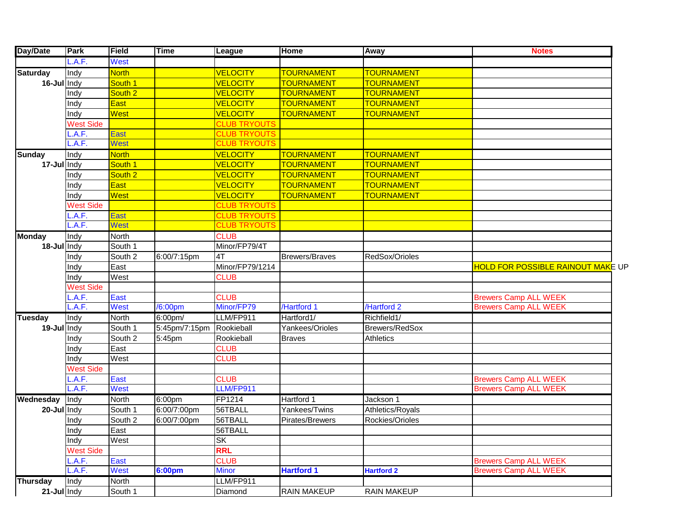| Day/Date        | Park             | Field        | <b>Time</b>   | League              | <b>Home</b>           | Away               | <b>Notes</b>                             |
|-----------------|------------------|--------------|---------------|---------------------|-----------------------|--------------------|------------------------------------------|
|                 | .A.F.            | West         |               |                     |                       |                    |                                          |
| <b>Saturday</b> | Indy             | <b>North</b> |               | <b>VELOCITY</b>     | <b>TOURNAMENT</b>     | <b>TOURNAMENT</b>  |                                          |
| 16-Jul Indy     |                  | South 1      |               | <b>VELOCITY</b>     | <b>TOURNAMENT</b>     | <b>TOURNAMENT</b>  |                                          |
|                 | Indy             | South 2      |               | <b>VELOCITY</b>     | <b>TOURNAMENT</b>     | <b>TOURNAMENT</b>  |                                          |
|                 | Indy             | <b>East</b>  |               | <b>VELOCITY</b>     | <b>TOURNAMENT</b>     | <b>TOURNAMENT</b>  |                                          |
|                 | Indy             | West         |               | <b>VELOCITY</b>     | <b>TOURNAMENT</b>     | <b>TOURNAMENT</b>  |                                          |
|                 | <b>West Side</b> |              |               | <b>CLUB TRYOUTS</b> |                       |                    |                                          |
|                 | .A.F.            | East         |               | <b>CLUB TRYOUTS</b> |                       |                    |                                          |
|                 | .A.F.            | West         |               | <b>CLUB TRYOUTS</b> |                       |                    |                                          |
| <b>Sunday</b>   | Indy             | <b>North</b> |               | <b>VELOCITY</b>     | <b>TOURNAMENT</b>     | <b>TOURNAMENT</b>  |                                          |
| 17-Jul Indy     |                  | South 1      |               | <b>VELOCITY</b>     | <b>TOURNAMENT</b>     | <b>TOURNAMENT</b>  |                                          |
|                 | Indy             | South 2      |               | <b>VELOCITY</b>     | <b>TOURNAMENT</b>     | <b>TOURNAMENT</b>  |                                          |
|                 | Indy             | <b>East</b>  |               | <b>VELOCITY</b>     | <b>TOURNAMENT</b>     | <b>TOURNAMENT</b>  |                                          |
|                 | Indy             | West         |               | <b>VELOCITY</b>     | <b>TOURNAMENT</b>     | <b>TOURNAMENT</b>  |                                          |
|                 | <b>West Side</b> |              |               | <b>CLUB TRYOUTS</b> |                       |                    |                                          |
|                 | .A.F.            | East         |               | <b>CLUB TRYOUTS</b> |                       |                    |                                          |
|                 | .A.F.            | West         |               | <b>CLUB TRYOUTS</b> |                       |                    |                                          |
| <b>Monday</b>   | Indy             | <b>North</b> |               | <b>CLUB</b>         |                       |                    |                                          |
| 18-Jul Indy     |                  | South 1      |               | Minor/FP79/4T       |                       |                    |                                          |
|                 | Indy             | South 2      | 6:00/7:15pm   | 4T                  | <b>Brewers/Braves</b> | RedSox/Orioles     |                                          |
|                 | Indy             | East         |               | Minor/FP79/1214     |                       |                    | <b>HOLD FOR POSSIBLE RAINOUT MAKE UP</b> |
|                 | Indy             | West         |               | <b>CLUB</b>         |                       |                    |                                          |
|                 | <b>West Side</b> |              |               |                     |                       |                    |                                          |
|                 | .A.F.            | East         |               | <b>CLUB</b>         |                       |                    | <b>Brewers Camp ALL WEEK</b>             |
|                 | A.F.             | West         | /6:00pm       | Minor/FP79          | /Hartford 1           | /Hartford 2        | <b>Brewers Camp ALL WEEK</b>             |
| <b>Tuesday</b>  | Indy             | <b>North</b> | 6:00pm/       | LLM/FP911           | Hartford1/            | Richfield1/        |                                          |
| 19-Jul Indy     |                  | South 1      | 5:45pm/7:15pm | Rookieball          | Yankees/Orioles       | Brewers/RedSox     |                                          |
|                 | Indy             | South 2      | 5:45pm        | Rookieball          | <b>Braves</b>         | Athletics          |                                          |
|                 | Indy             | East         |               | <b>CLUB</b>         |                       |                    |                                          |
|                 | Indy             | West         |               | <b>CLUB</b>         |                       |                    |                                          |
|                 | <b>West Side</b> |              |               |                     |                       |                    |                                          |
|                 | .A.F.            | East         |               | <b>CLUB</b>         |                       |                    | <b>Brewers Camp ALL WEEK</b>             |
|                 | .A.F.            | <b>West</b>  |               | LLM/FP911           |                       |                    | <b>Brewers Camp ALL WEEK</b>             |
| Wednesday       | Indy             | <b>North</b> | $6:00$ pm     | FP1214              | Hartford 1            | Jackson 1          |                                          |
| 20-Jul Indy     |                  | South 1      | 6:00/7:00pm   | 56TBALL             | Yankees/Twins         | Athletics/Royals   |                                          |
|                 | Indy             | South 2      | 6:00/7:00pm   | 56TBALL             | Pirates/Brewers       | Rockies/Orioles    |                                          |
|                 | Indy             | East         |               | 56TBALL             |                       |                    |                                          |
|                 | Indy             | West         |               | <b>SK</b>           |                       |                    |                                          |
|                 | <b>West Side</b> |              |               | <b>RRL</b>          |                       |                    |                                          |
|                 | L.A.F.           | East         |               | <b>CLUB</b>         |                       |                    | <b>Brewers Camp ALL WEEK</b>             |
|                 | L.A.F.           | West         | 6:00pm        | <b>Minor</b>        | <b>Hartford 1</b>     | <b>Hartford 2</b>  | <b>Brewers Camp ALL WEEK</b>             |
| Thursday        | Indy             | North        |               | LLM/FP911           |                       |                    |                                          |
| 21-Jul Indy     |                  | South 1      |               | Diamond             | <b>RAIN MAKEUP</b>    | <b>RAIN MAKEUP</b> |                                          |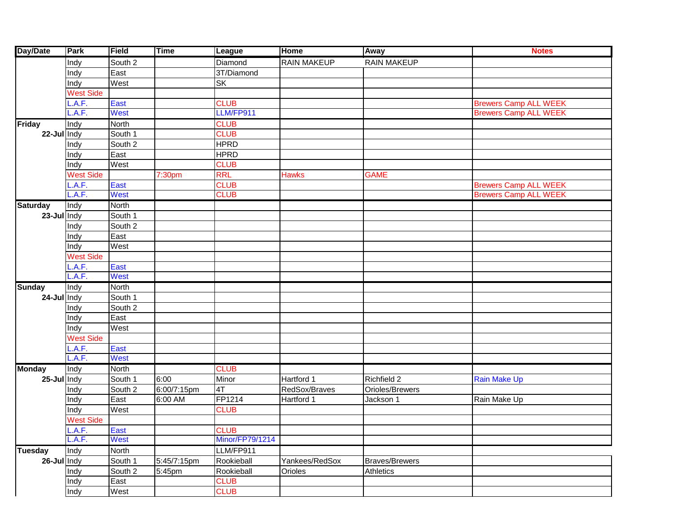| Day/Date        | Park             | Field       | <b>Time</b> | <b>League</b>   | <b>Home</b>        | Away                  | <b>Notes</b>                 |
|-----------------|------------------|-------------|-------------|-----------------|--------------------|-----------------------|------------------------------|
|                 | Indy             | South 2     |             | Diamond         | <b>RAIN MAKEUP</b> | <b>RAIN MAKEUP</b>    |                              |
|                 | Indy             | East        |             | 3T/Diamond      |                    |                       |                              |
|                 | Indy             | West        |             | SK              |                    |                       |                              |
|                 | <b>West Side</b> |             |             |                 |                    |                       |                              |
|                 | .A.F.            | East        |             | <b>CLUB</b>     |                    |                       | <b>Brewers Camp ALL WEEK</b> |
|                 | A.F.             | <b>West</b> |             | LLM/FP911       |                    |                       | <b>Brewers Camp ALL WEEK</b> |
| <b>Friday</b>   | Indy             | North       |             | <b>CLUB</b>     |                    |                       |                              |
| 22-Jul Indy     |                  | South 1     |             | <b>CLUB</b>     |                    |                       |                              |
|                 | Indy             | South 2     |             | <b>HPRD</b>     |                    |                       |                              |
|                 | Indy             | East        |             | <b>HPRD</b>     |                    |                       |                              |
|                 | Indy             | West        |             | <b>CLUB</b>     |                    |                       |                              |
|                 | <b>West Side</b> |             | 7:30pm      | <b>RRL</b>      | <b>Hawks</b>       | <b>GAME</b>           |                              |
|                 | .A.F.            | East        |             | <b>CLUB</b>     |                    |                       | <b>Brewers Camp ALL WEEK</b> |
|                 | A.F.             | West        |             | <b>CLUB</b>     |                    |                       | <b>Brewers Camp ALL WEEK</b> |
| <b>Saturday</b> | Indy             | North       |             |                 |                    |                       |                              |
| 23-Jul Indy     |                  | South 1     |             |                 |                    |                       |                              |
|                 | Indy             | South 2     |             |                 |                    |                       |                              |
|                 | Indy             | East        |             |                 |                    |                       |                              |
|                 | Indy             | West        |             |                 |                    |                       |                              |
|                 | <b>West Side</b> |             |             |                 |                    |                       |                              |
|                 | .A.F.            | East        |             |                 |                    |                       |                              |
|                 | A.F.             | West        |             |                 |                    |                       |                              |
| <b>Sunday</b>   | Indy             | North       |             |                 |                    |                       |                              |
| 24-Jul Indy     |                  | South 1     |             |                 |                    |                       |                              |
|                 | Indy             | South 2     |             |                 |                    |                       |                              |
|                 | Indy             | East        |             |                 |                    |                       |                              |
|                 | Indy             | West        |             |                 |                    |                       |                              |
|                 | <b>West Side</b> |             |             |                 |                    |                       |                              |
|                 | .A.F.            | East        |             |                 |                    |                       |                              |
|                 | L.A.F.           | West        |             |                 |                    |                       |                              |
| <b>Monday</b>   | Indy             | North       |             | <b>CLUB</b>     |                    |                       |                              |
| 25-Jul Indy     |                  | South 1     | 6:00        | Minor           | Hartford 1         | Richfield 2           | <b>Rain Make Up</b>          |
|                 | Indy             | South 2     | 6:00/7:15pm | 4T              | RedSox/Braves      | Orioles/Brewers       |                              |
|                 | Indy             | East        | 6:00 AM     | FP1214          | Hartford 1         | Jackson 1             | Rain Make Up                 |
|                 | Indy             | West        |             | <b>CLUB</b>     |                    |                       |                              |
|                 | <b>West Side</b> |             |             |                 |                    |                       |                              |
|                 | L.A.F.           | East        |             | <b>CLUB</b>     |                    |                       |                              |
|                 | L.A.F.           | West        |             | Minor/FP79/1214 |                    |                       |                              |
| <b>Tuesday</b>  | Indy             | North       |             | LLM/FP911       |                    |                       |                              |
| $26$ -Jul Indy  |                  | South 1     | 5:45/7:15pm | Rookieball      | Yankees/RedSox     | <b>Braves/Brewers</b> |                              |
|                 | Indy             | South 2     | 5:45pm      | Rookieball      | Orioles            | Athletics             |                              |
|                 | Indy             | East        |             | <b>CLUB</b>     |                    |                       |                              |
|                 | Indy             | West        |             | <b>CLUB</b>     |                    |                       |                              |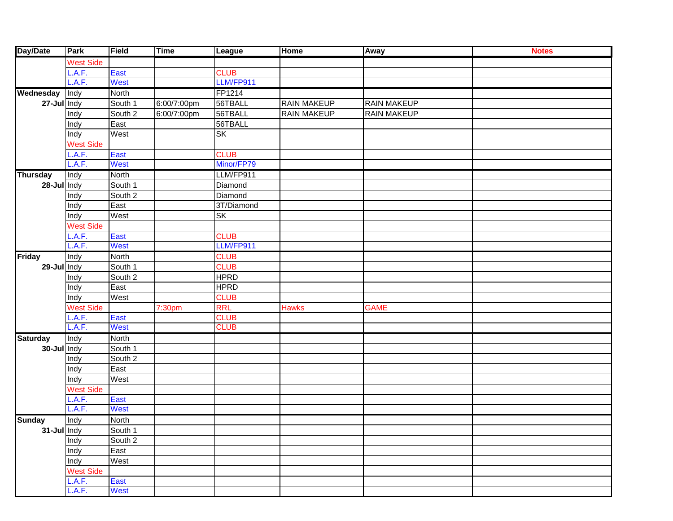| Day/Date          | Park             | <b>Field</b> | <b>Time</b> | League           | <b>Home</b>        | <b>Away</b>        | <b>Notes</b> |
|-------------------|------------------|--------------|-------------|------------------|--------------------|--------------------|--------------|
|                   | <b>West Side</b> |              |             |                  |                    |                    |              |
|                   | .A.F.            | East         |             | <b>CLUB</b>      |                    |                    |              |
|                   | A.F.             | West         |             | LLM/FP911        |                    |                    |              |
| Wednesday         | Indy             | North        |             | FP1214           |                    |                    |              |
| 27-Jul Indy       |                  | South 1      | 6:00/7:00pm | 56TBALL          | <b>RAIN MAKEUP</b> | <b>RAIN MAKEUP</b> |              |
|                   | Indy             | South 2      | 6:00/7:00pm | 56TBALL          | <b>RAIN MAKEUP</b> | <b>RAIN MAKEUP</b> |              |
|                   | Indy             | East         |             | 56TBALL          |                    |                    |              |
|                   | Indy             | West         |             | $S_{\mathsf{K}}$ |                    |                    |              |
|                   | <b>West Side</b> |              |             |                  |                    |                    |              |
|                   | .A.F.            | East         |             | <b>CLUB</b>      |                    |                    |              |
|                   | L.A.F.           | West         |             | Minor/FP79       |                    |                    |              |
| <b>Thursday</b>   | Indy             | North        |             | LLM/FP911        |                    |                    |              |
| 28-Jul Indy       |                  | South 1      |             | Diamond          |                    |                    |              |
|                   | Indy             | South 2      |             | Diamond          |                    |                    |              |
|                   | Indy             | East         |             | 3T/Diamond       |                    |                    |              |
|                   | Indy             | West         |             | <b>SK</b>        |                    |                    |              |
|                   | <b>West Side</b> |              |             |                  |                    |                    |              |
|                   | .A.F.            | East         |             | <b>CLUB</b>      |                    |                    |              |
|                   | L.A.F.           | West         |             | LLM/FP911        |                    |                    |              |
| <b>Friday</b>     | Indy             | North        |             | <b>CLUB</b>      |                    |                    |              |
| $29$ -Jul $ln dy$ |                  | South 1      |             | <b>CLUB</b>      |                    |                    |              |
|                   | Indy             | South 2      |             | <b>HPRD</b>      |                    |                    |              |
|                   | Indy             | East         |             | <b>HPRD</b>      |                    |                    |              |
|                   | Indy             | West         |             | <b>CLUB</b>      |                    |                    |              |
|                   | <b>West Side</b> |              | 7:30pm      | <b>RRL</b>       | <b>Hawks</b>       | <b>GAME</b>        |              |
|                   | .A.F.            | East         |             | <b>CLUB</b>      |                    |                    |              |
|                   | L.A.F.           | West         |             | <b>CLUB</b>      |                    |                    |              |
| <b>Saturday</b>   | Indy             | North        |             |                  |                    |                    |              |
| 30-Jul Indy       |                  | South 1      |             |                  |                    |                    |              |
|                   | Indy             | South 2      |             |                  |                    |                    |              |
|                   | Indy             | East         |             |                  |                    |                    |              |
|                   | Indy             | West         |             |                  |                    |                    |              |
|                   | <b>West Side</b> |              |             |                  |                    |                    |              |
|                   | .A.F.            | East         |             |                  |                    |                    |              |
|                   | L.A.F.           | West         |             |                  |                    |                    |              |
| <b>Sunday</b>     | Indy             | North        |             |                  |                    |                    |              |
| 31-Jul Indy       |                  | South 1      |             |                  |                    |                    |              |
|                   | Indy             | South 2      |             |                  |                    |                    |              |
|                   | Indy             | East         |             |                  |                    |                    |              |
|                   | Indy             | West         |             |                  |                    |                    |              |
|                   | <b>West Side</b> |              |             |                  |                    |                    |              |
|                   | L.A.F.           | East         |             |                  |                    |                    |              |
|                   | L.A.F.           | <b>West</b>  |             |                  |                    |                    |              |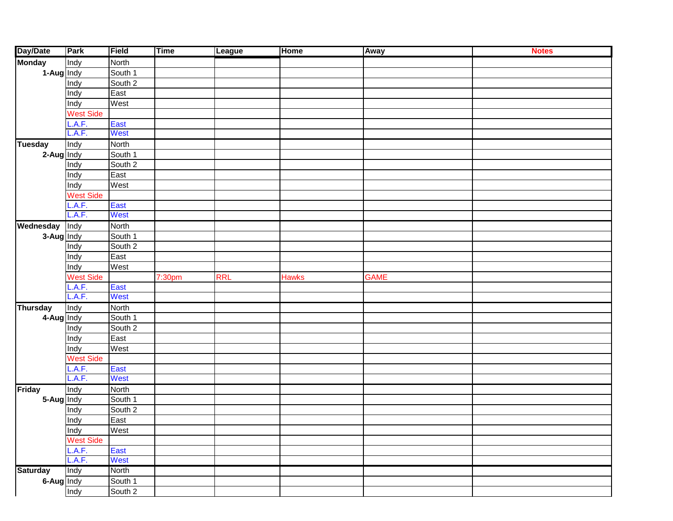| Day/Date        | Park             | Field        | <b>Time</b>        | League     | <b>Home</b>  | Away        | <b>Notes</b> |
|-----------------|------------------|--------------|--------------------|------------|--------------|-------------|--------------|
| <b>Monday</b>   | Indy             | North        |                    |            |              |             |              |
| 1-Aug Indy      |                  | South 1      |                    |            |              |             |              |
|                 | Indy             | South 2      |                    |            |              |             |              |
|                 | Indy             | East         |                    |            |              |             |              |
|                 | Indy             | West         |                    |            |              |             |              |
|                 | West Side        |              |                    |            |              |             |              |
|                 | .A.F.            | East         |                    |            |              |             |              |
|                 | L.A.F.           | West         |                    |            |              |             |              |
| <b>Tuesday</b>  | Indy             | North        |                    |            |              |             |              |
| 2-Aug Indy      |                  | South 1      |                    |            |              |             |              |
|                 | Indy             | South 2      |                    |            |              |             |              |
|                 | Indy             | East         |                    |            |              |             |              |
|                 | Indy             | West         |                    |            |              |             |              |
|                 | <b>West Side</b> |              |                    |            |              |             |              |
|                 | .A.F.            | East         |                    |            |              |             |              |
|                 | L.A.F.           | West         |                    |            |              |             |              |
| Wednesday       | Indy             | North        |                    |            |              |             |              |
| 3-Aug Indy      |                  | South 1      |                    |            |              |             |              |
|                 | Indy             | South 2      |                    |            |              |             |              |
|                 | Indy             | East         |                    |            |              |             |              |
|                 | Indy             | West         |                    |            |              |             |              |
|                 | West Side        |              | 7:30 <sub>pm</sub> | <b>RRL</b> | <b>Hawks</b> | <b>GAME</b> |              |
|                 | .A.F.            | East         |                    |            |              |             |              |
|                 | L.A.F.           | West         |                    |            |              |             |              |
| <b>Thursday</b> | Indy             | <b>North</b> |                    |            |              |             |              |
| 4-Aug Indy      |                  | South 1      |                    |            |              |             |              |
|                 | Indy             | South 2      |                    |            |              |             |              |
|                 | Indy             | East         |                    |            |              |             |              |
|                 | Indy             | West         |                    |            |              |             |              |
|                 | <b>West Side</b> |              |                    |            |              |             |              |
|                 | .A.F.            | East         |                    |            |              |             |              |
|                 | L.A.F.           | West         |                    |            |              |             |              |
| <b>Friday</b>   | Indy             | North        |                    |            |              |             |              |
| 5-Aug Indy      |                  | South 1      |                    |            |              |             |              |
|                 | Indy             | South 2      |                    |            |              |             |              |
|                 | Indy             | East         |                    |            |              |             |              |
|                 | Indy             | West         |                    |            |              |             |              |
|                 | <b>West Side</b> |              |                    |            |              |             |              |
|                 | L.A.F.           | East         |                    |            |              |             |              |
|                 | L.A.F.           | <b>West</b>  |                    |            |              |             |              |
| <b>Saturday</b> | Indy             | North        |                    |            |              |             |              |
| 6-Aug Indy      |                  | South 1      |                    |            |              |             |              |
|                 | Indy             | South 2      |                    |            |              |             |              |
|                 |                  |              |                    |            |              |             |              |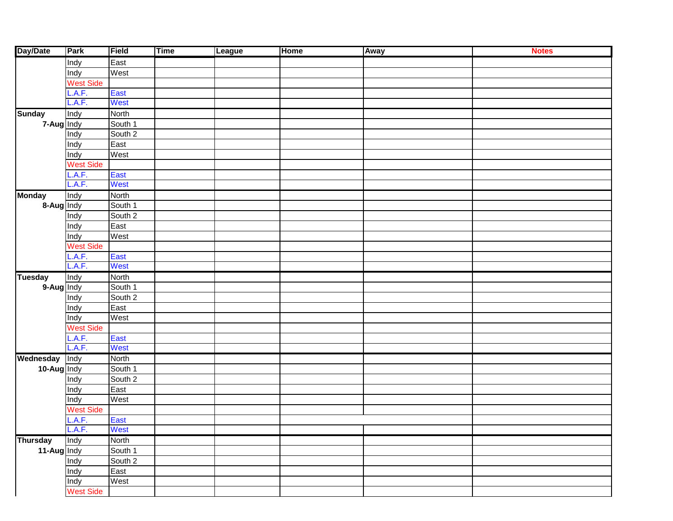| Day/Date        | Park             | Field              | <b>Time</b> | League | <b>Home</b> | <b>Away</b> | <b>Notes</b> |
|-----------------|------------------|--------------------|-------------|--------|-------------|-------------|--------------|
|                 | Indy             | East               |             |        |             |             |              |
|                 | Indy             | West               |             |        |             |             |              |
|                 | West Side        |                    |             |        |             |             |              |
|                 | L.A.F.           | East               |             |        |             |             |              |
|                 | L.A.F.           | West               |             |        |             |             |              |
| <b>Sunday</b>   | Indy             | North              |             |        |             |             |              |
| 7-Aug Indy      |                  | South 1            |             |        |             |             |              |
|                 | Indy             | South 2            |             |        |             |             |              |
|                 | Indy             | East               |             |        |             |             |              |
|                 | Indy             | West               |             |        |             |             |              |
|                 | <b>West Side</b> |                    |             |        |             |             |              |
|                 | L.A.F.           | East               |             |        |             |             |              |
|                 | L.A.F.           | West               |             |        |             |             |              |
| <b>Monday</b>   | Indy             | North              |             |        |             |             |              |
| 8-Aug Indy      |                  | South 1            |             |        |             |             |              |
|                 | Indy             | South 2            |             |        |             |             |              |
|                 | Indy             | East               |             |        |             |             |              |
|                 | Indy             | West               |             |        |             |             |              |
|                 | <b>West Side</b> |                    |             |        |             |             |              |
|                 | L.A.F.           | East               |             |        |             |             |              |
|                 | L.A.F.           | West               |             |        |             |             |              |
| <b>Tuesday</b>  | Indy             | <b>North</b>       |             |        |             |             |              |
| 9-Aug Indy      |                  | South 1            |             |        |             |             |              |
|                 | Indy             | South 2            |             |        |             |             |              |
|                 | Indy             | East               |             |        |             |             |              |
|                 | Indy             | West               |             |        |             |             |              |
|                 | <b>West Side</b> |                    |             |        |             |             |              |
|                 | L.A.F.           | East               |             |        |             |             |              |
|                 | L.A.F.           | West               |             |        |             |             |              |
| Wednesday       | Indy             | <b>North</b>       |             |        |             |             |              |
| 10-Aug Indy     |                  | South 1            |             |        |             |             |              |
|                 | Indy             | South 2            |             |        |             |             |              |
|                 | Indy             | East               |             |        |             |             |              |
|                 | Indy             | West               |             |        |             |             |              |
|                 | West Side        |                    |             |        |             |             |              |
|                 | L.A.F.           | East               |             |        |             |             |              |
|                 | L.A.F.           | West               |             |        |             |             |              |
| <b>Thursday</b> | Indy             | North              |             |        |             |             |              |
| 11-Aug Indy     |                  | South 1            |             |        |             |             |              |
|                 | Indy             | South <sub>2</sub> |             |        |             |             |              |
|                 | Indy             | East               |             |        |             |             |              |
|                 | Indy             | West               |             |        |             |             |              |
|                 | <b>West Side</b> |                    |             |        |             |             |              |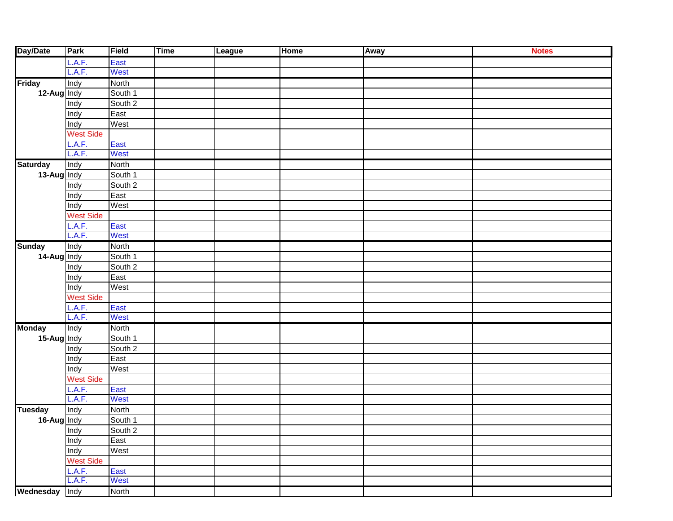| Day/Date                     | Park             | Field        | <b>Time</b> | League | <b>Home</b> | Away | <b>Notes</b> |
|------------------------------|------------------|--------------|-------------|--------|-------------|------|--------------|
|                              | .A.F.            | East         |             |        |             |      |              |
|                              | L.A.F.           | <b>West</b>  |             |        |             |      |              |
| <b>Friday</b><br>12-Aug Indy | Indy             | North        |             |        |             |      |              |
|                              |                  | South 1      |             |        |             |      |              |
|                              | Indy             | South 2      |             |        |             |      |              |
|                              | Indy             | East         |             |        |             |      |              |
|                              | Indy             | West         |             |        |             |      |              |
|                              | West Side        |              |             |        |             |      |              |
|                              | .A.F.            | East         |             |        |             |      |              |
|                              | L.A.F.           | West         |             |        |             |      |              |
| <b>Saturday</b>              | Indy             | North        |             |        |             |      |              |
| 13-Aug Indy                  |                  | South 1      |             |        |             |      |              |
|                              | Indy             | South 2      |             |        |             |      |              |
|                              | Indy             | East         |             |        |             |      |              |
|                              | Indy             | West         |             |        |             |      |              |
|                              | <b>West Side</b> |              |             |        |             |      |              |
|                              | .A.F.            | East         |             |        |             |      |              |
|                              | L.A.F.           | West         |             |        |             |      |              |
| <b>Sunday</b>                | Indy             | North        |             |        |             |      |              |
| 14-Aug Indy                  |                  | South 1      |             |        |             |      |              |
|                              | Indy             | South 2      |             |        |             |      |              |
|                              | Indy             | East         |             |        |             |      |              |
|                              | Indy             | West         |             |        |             |      |              |
|                              | West Side        |              |             |        |             |      |              |
|                              | L.A.F.           | East         |             |        |             |      |              |
|                              | L.A.F.           | West         |             |        |             |      |              |
| <b>Monday</b>                | Indy             | North        |             |        |             |      |              |
| 15-Aug Indy                  |                  | South 1      |             |        |             |      |              |
|                              | Indy             | South 2      |             |        |             |      |              |
|                              | Indy             | East         |             |        |             |      |              |
|                              | Indy             | West         |             |        |             |      |              |
|                              | <b>West Side</b> |              |             |        |             |      |              |
|                              | .A.F.            | East         |             |        |             |      |              |
|                              | L.A.F.           | <b>West</b>  |             |        |             |      |              |
| <b>Tuesday</b>               | Indy             | North        |             |        |             |      |              |
| 16-Aug Indy                  |                  | South 1      |             |        |             |      |              |
|                              | Indy             | South 2      |             |        |             |      |              |
|                              | Indy             | East         |             |        |             |      |              |
|                              | Indy             | West         |             |        |             |      |              |
|                              | <b>West Side</b> |              |             |        |             |      |              |
|                              | L.A.F.           | East         |             |        |             |      |              |
|                              | L.A.F.           | West         |             |        |             |      |              |
| Wednesday                    | Indy             | <b>North</b> |             |        |             |      |              |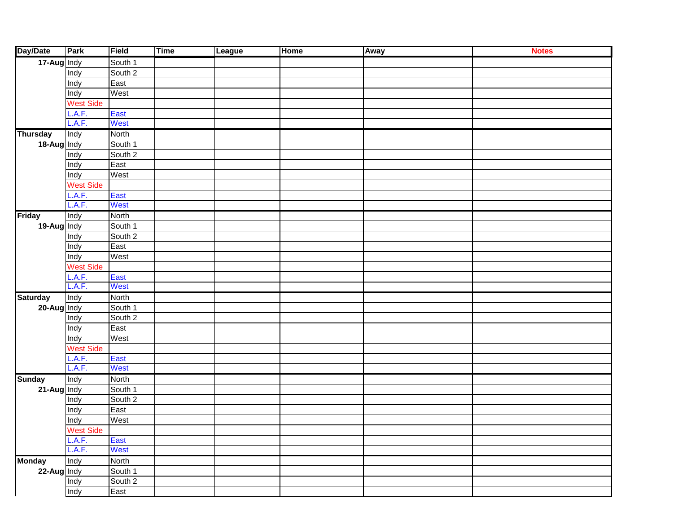| Day/Date        | Park             | Field                    | <b>Time</b> | League | Home | <b>Away</b> | <b>Notes</b> |
|-----------------|------------------|--------------------------|-------------|--------|------|-------------|--------------|
| 17-Aug Indy     |                  | South 1                  |             |        |      |             |              |
|                 | Indy             | South 2                  |             |        |      |             |              |
|                 | Indy             | East                     |             |        |      |             |              |
|                 | Indy             | West                     |             |        |      |             |              |
|                 | West Side        |                          |             |        |      |             |              |
|                 | .A.F.            | East                     |             |        |      |             |              |
|                 | L.A.F.           | West                     |             |        |      |             |              |
| <b>Thursday</b> | Indy             | <b>North</b>             |             |        |      |             |              |
| 18-Aug Indy     |                  | South 1                  |             |        |      |             |              |
|                 | Indy             | South 2                  |             |        |      |             |              |
|                 | Indy             | East                     |             |        |      |             |              |
|                 | Indy             | West                     |             |        |      |             |              |
|                 | West Side        |                          |             |        |      |             |              |
|                 | .A.F.            | East                     |             |        |      |             |              |
|                 | L.A.F.           | West                     |             |        |      |             |              |
| <b>Friday</b>   | Indy             | <b>North</b>             |             |        |      |             |              |
| 19-Aug Indy     |                  | South 1                  |             |        |      |             |              |
|                 | Indy             | South 2                  |             |        |      |             |              |
|                 | Indy             | East                     |             |        |      |             |              |
|                 | Indy             | West                     |             |        |      |             |              |
|                 | West Side        |                          |             |        |      |             |              |
|                 | .A.F.            | East                     |             |        |      |             |              |
|                 | L.A.F.           | West                     |             |        |      |             |              |
| <b>Saturday</b> | Indy             | <b>North</b>             |             |        |      |             |              |
| 20-Aug Indy     |                  | South 1                  |             |        |      |             |              |
|                 | Indy             | South 2                  |             |        |      |             |              |
|                 | Indy             | East                     |             |        |      |             |              |
|                 | Indy             | West                     |             |        |      |             |              |
|                 | West Side        |                          |             |        |      |             |              |
|                 | .A.F.            | East                     |             |        |      |             |              |
|                 | L.A.F.           | West                     |             |        |      |             |              |
| <b>Sunday</b>   | Indy             | <b>North</b>             |             |        |      |             |              |
| 21-Aug Indy     |                  | South 1                  |             |        |      |             |              |
|                 | Indy             | South 2                  |             |        |      |             |              |
|                 | Indy             | East                     |             |        |      |             |              |
|                 | Indy             | West                     |             |        |      |             |              |
|                 | <b>West Side</b> |                          |             |        |      |             |              |
|                 | L.A.F.           | East                     |             |        |      |             |              |
|                 | L.A.F.           | West                     |             |        |      |             |              |
| <b>Monday</b>   | Indy             | <b>North</b>             |             |        |      |             |              |
| 22-Aug Indy     |                  | South 1                  |             |        |      |             |              |
|                 | Indy             | South 2                  |             |        |      |             |              |
|                 | Indy             | $\overline{\text{East}}$ |             |        |      |             |              |